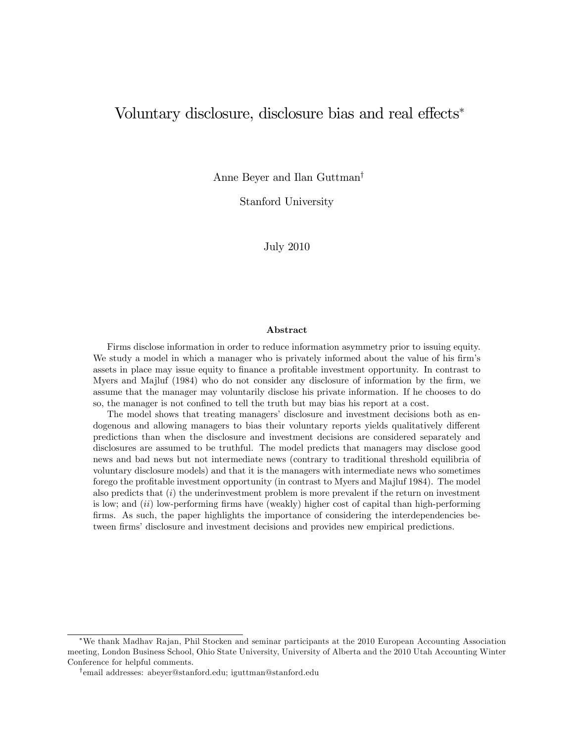# Voluntary disclosure, disclosure bias and real effects<sup>\*</sup>

Anne Beyer and Ilan Guttman<sup>†</sup>

Stanford University

July 2010

### Abstract

Firms disclose information in order to reduce information asymmetry prior to issuing equity. We study a model in which a manager who is privately informed about the value of his firm's assets in place may issue equity to finance a profitable investment opportunity. In contrast to Myers and Majluf (1984) who do not consider any disclosure of information by the firm, we assume that the manager may voluntarily disclose his private information. If he chooses to do so, the manager is not confined to tell the truth but may bias his report at a cost.

The model shows that treating managers' disclosure and investment decisions both as endogenous and allowing managers to bias their voluntary reports yields qualitatively different predictions than when the disclosure and investment decisions are considered separately and disclosures are assumed to be truthful. The model predicts that managers may disclose good news and bad news but not intermediate news (contrary to traditional threshold equilibria of voluntary disclosure models) and that it is the managers with intermediate news who sometimes forego the profitable investment opportunity (in contrast to Myers and Majluf 1984). The model also predicts that  $(i)$  the underinvestment problem is more prevalent if the return on investment is low; and  $(ii)$  low-performing firms have (weakly) higher cost of capital than high-performing firms. As such, the paper highlights the importance of considering the interdependencies between firms' disclosure and investment decisions and provides new empirical predictions.

We thank Madhav Rajan, Phil Stocken and seminar participants at the 2010 European Accounting Association meeting, London Business School, Ohio State University, University of Alberta and the 2010 Utah Accounting Winter Conference for helpful comments.

<sup>&</sup>lt;sup>†</sup>email addresses: abeyer@stanford.edu; iguttman@stanford.edu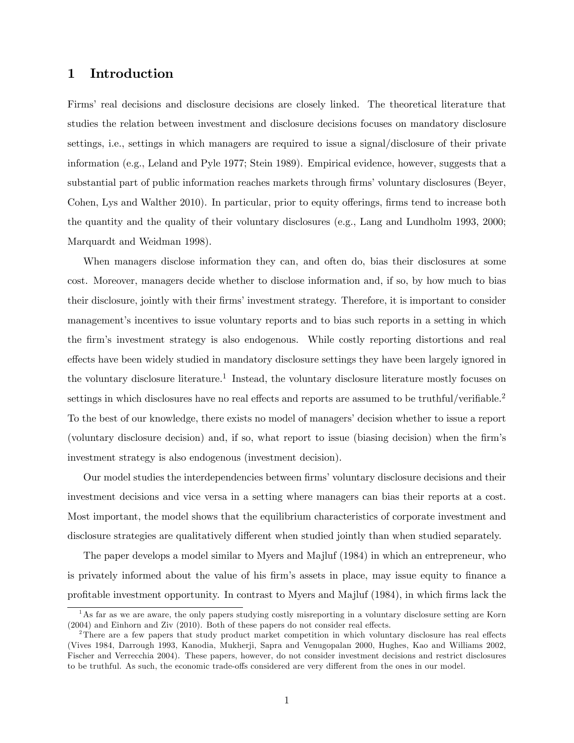# 1 Introduction

Firmsí real decisions and disclosure decisions are closely linked. The theoretical literature that studies the relation between investment and disclosure decisions focuses on mandatory disclosure settings, i.e., settings in which managers are required to issue a signal/disclosure of their private information (e.g., Leland and Pyle 1977; Stein 1989). Empirical evidence, however, suggests that a substantial part of public information reaches markets through firms' voluntary disclosures (Beyer, Cohen, Lys and Walther 2010). In particular, prior to equity offerings, firms tend to increase both the quantity and the quality of their voluntary disclosures (e.g., Lang and Lundholm 1993, 2000; Marquardt and Weidman 1998).

When managers disclose information they can, and often do, bias their disclosures at some cost. Moreover, managers decide whether to disclose information and, if so, by how much to bias their disclosure, jointly with their firms' investment strategy. Therefore, it is important to consider management's incentives to issue voluntary reports and to bias such reports in a setting in which the firm's investment strategy is also endogenous. While costly reporting distortions and real effects have been widely studied in mandatory disclosure settings they have been largely ignored in the voluntary disclosure literature.<sup>1</sup> Instead, the voluntary disclosure literature mostly focuses on settings in which disclosures have no real effects and reports are assumed to be truthful/verifiable.<sup>2</sup> To the best of our knowledge, there exists no model of managers' decision whether to issue a report (voluntary disclosure decision) and, if so, what report to issue (biasing decision) when the firm's investment strategy is also endogenous (investment decision).

Our model studies the interdependencies between firms' voluntary disclosure decisions and their investment decisions and vice versa in a setting where managers can bias their reports at a cost. Most important, the model shows that the equilibrium characteristics of corporate investment and disclosure strategies are qualitatively different when studied jointly than when studied separately.

The paper develops a model similar to Myers and Majluf (1984) in which an entrepreneur, who is privately informed about the value of his firm's assets in place, may issue equity to finance a profitable investment opportunity. In contrast to Myers and Majluf (1984), in which firms lack the

<sup>1</sup>As far as we are aware, the only papers studying costly misreporting in a voluntary disclosure setting are Korn  $(2004)$  and Einhorn and Ziv  $(2010)$ . Both of these papers do not consider real effects.

<sup>&</sup>lt;sup>2</sup>There are a few papers that study product market competition in which voluntary disclosure has real effects (Vives 1984, Darrough 1993, Kanodia, Mukherji, Sapra and Venugopalan 2000, Hughes, Kao and Williams 2002, Fischer and Verrecchia 2004). These papers, however, do not consider investment decisions and restrict disclosures to be truthful. As such, the economic trade-offs considered are very different from the ones in our model.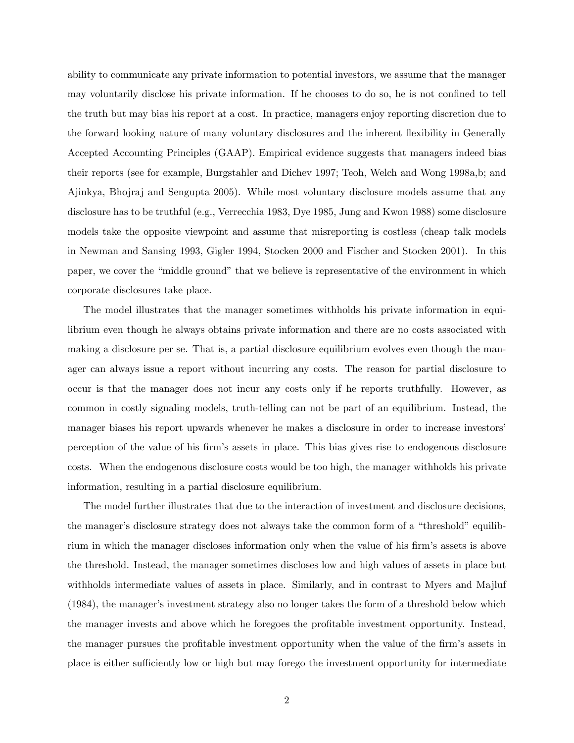ability to communicate any private information to potential investors, we assume that the manager may voluntarily disclose his private information. If he chooses to do so, he is not confined to tell the truth but may bias his report at a cost. In practice, managers enjoy reporting discretion due to the forward looking nature of many voluntary disclosures and the inherent flexibility in Generally Accepted Accounting Principles (GAAP). Empirical evidence suggests that managers indeed bias their reports (see for example, Burgstahler and Dichev 1997; Teoh, Welch and Wong 1998a,b; and Ajinkya, Bhojraj and Sengupta 2005). While most voluntary disclosure models assume that any disclosure has to be truthful (e.g., Verrecchia 1983, Dye 1985, Jung and Kwon 1988) some disclosure models take the opposite viewpoint and assume that misreporting is costless (cheap talk models in Newman and Sansing 1993, Gigler 1994, Stocken 2000 and Fischer and Stocken 2001). In this paper, we cover the "middle ground" that we believe is representative of the environment in which corporate disclosures take place.

The model illustrates that the manager sometimes withholds his private information in equilibrium even though he always obtains private information and there are no costs associated with making a disclosure per se. That is, a partial disclosure equilibrium evolves even though the manager can always issue a report without incurring any costs. The reason for partial disclosure to occur is that the manager does not incur any costs only if he reports truthfully. However, as common in costly signaling models, truth-telling can not be part of an equilibrium. Instead, the manager biases his report upwards whenever he makes a disclosure in order to increase investors' perception of the value of his firm's assets in place. This bias gives rise to endogenous disclosure costs. When the endogenous disclosure costs would be too high, the manager withholds his private information, resulting in a partial disclosure equilibrium.

The model further illustrates that due to the interaction of investment and disclosure decisions, the manager's disclosure strategy does not always take the common form of a "threshold" equilibrium in which the manager discloses information only when the value of his firm's assets is above the threshold. Instead, the manager sometimes discloses low and high values of assets in place but withholds intermediate values of assets in place. Similarly, and in contrast to Myers and Majluf (1984), the managerís investment strategy also no longer takes the form of a threshold below which the manager invests and above which he foregoes the profitable investment opportunity. Instead, the manager pursues the profitable investment opportunity when the value of the firm's assets in place is either sufficiently low or high but may forego the investment opportunity for intermediate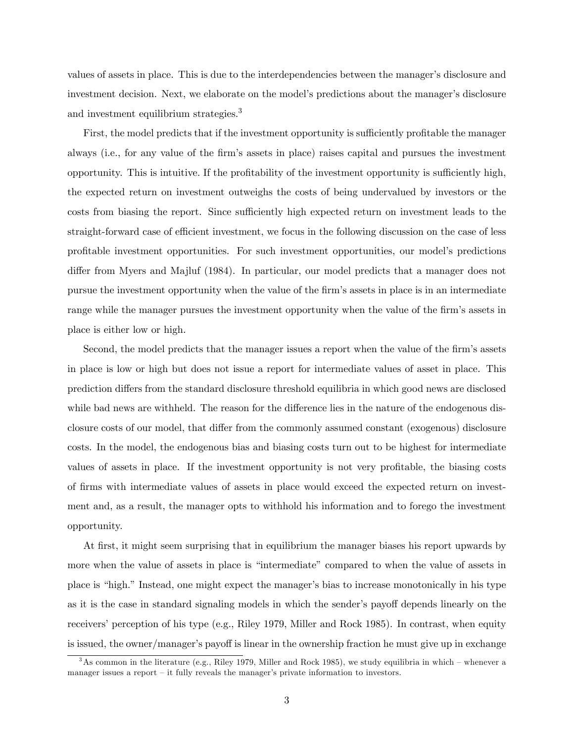values of assets in place. This is due to the interdependencies between the manager's disclosure and investment decision. Next, we elaborate on the model's predictions about the manager's disclosure and investment equilibrium strategies.<sup>3</sup>

First, the model predicts that if the investment opportunity is sufficiently profitable the manager always (i.e., for any value of the firm's assets in place) raises capital and pursues the investment opportunity. This is intuitive. If the profitability of the investment opportunity is sufficiently high, the expected return on investment outweighs the costs of being undervalued by investors or the costs from biasing the report. Since sufficiently high expected return on investment leads to the straight-forward case of efficient investment, we focus in the following discussion on the case of less profitable investment opportunities. For such investment opportunities, our model's predictions differ from Myers and Majluf (1984). In particular, our model predicts that a manager does not pursue the investment opportunity when the value of the firm's assets in place is in an intermediate range while the manager pursues the investment opportunity when the value of the firm's assets in place is either low or high.

Second, the model predicts that the manager issues a report when the value of the firm's assets in place is low or high but does not issue a report for intermediate values of asset in place. This prediction differs from the standard disclosure threshold equilibria in which good news are disclosed while bad news are withheld. The reason for the difference lies in the nature of the endogenous disclosure costs of our model, that differ from the commonly assumed constant (exogenous) disclosure costs. In the model, the endogenous bias and biasing costs turn out to be highest for intermediate values of assets in place. If the investment opportunity is not very profitable, the biasing costs of Örms with intermediate values of assets in place would exceed the expected return on investment and, as a result, the manager opts to withhold his information and to forego the investment opportunity.

At first, it might seem surprising that in equilibrium the manager biases his report upwards by more when the value of assets in place is "intermediate" compared to when the value of assets in place is "high." Instead, one might expect the manager's bias to increase monotonically in his type as it is the case in standard signaling models in which the sender's payoff depends linearly on the receivers' perception of his type (e.g., Riley 1979, Miller and Rock 1985). In contrast, when equity is issued, the owner/manager's payoff is linear in the ownership fraction he must give up in exchange

 $3$ As common in the literature (e.g., Riley 1979, Miller and Rock 1985), we study equilibria in which – whenever a manager issues a report  $-$  it fully reveals the manager's private information to investors.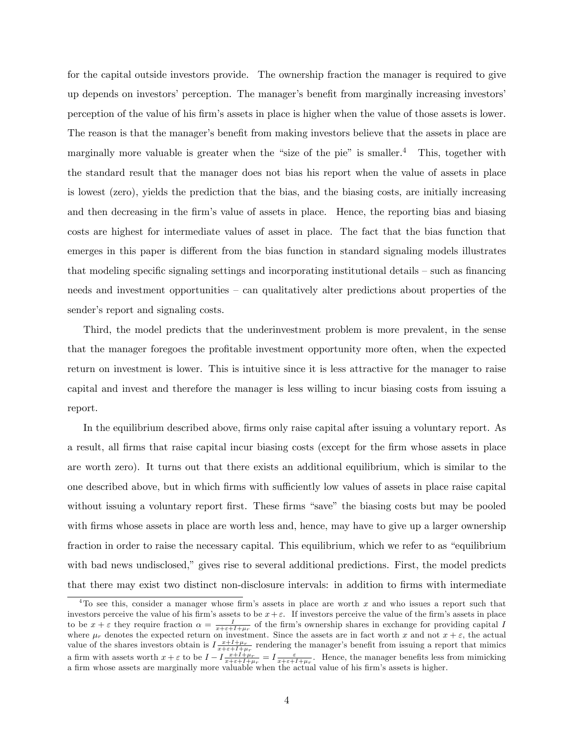for the capital outside investors provide. The ownership fraction the manager is required to give up depends on investors' perception. The manager's benefit from marginally increasing investors' perception of the value of his Örmís assets in place is higher when the value of those assets is lower. The reason is that the manager's benefit from making investors believe that the assets in place are marginally more valuable is greater when the "size of the pie" is smaller.<sup>4</sup> This, together with the standard result that the manager does not bias his report when the value of assets in place is lowest (zero), yields the prediction that the bias, and the biasing costs, are initially increasing and then decreasing in the firm's value of assets in place. Hence, the reporting bias and biasing costs are highest for intermediate values of asset in place. The fact that the bias function that emerges in this paper is different from the bias function in standard signaling models illustrates that modeling specific signaling settings and incorporating institutional details  $\sim$  such as financing needs and investment opportunities  $\overline{\phantom{a}}$  can qualitatively alter predictions about properties of the sender's report and signaling costs.

Third, the model predicts that the underinvestment problem is more prevalent, in the sense that the manager foregoes the profitable investment opportunity more often, when the expected return on investment is lower. This is intuitive since it is less attractive for the manager to raise capital and invest and therefore the manager is less willing to incur biasing costs from issuing a report.

In the equilibrium described above, firms only raise capital after issuing a voluntary report. As a result, all firms that raise capital incur biasing costs (except for the firm whose assets in place are worth zero). It turns out that there exists an additional equilibrium, which is similar to the one described above, but in which firms with sufficiently low values of assets in place raise capital without issuing a voluntary report first. These firms "save" the biasing costs but may be pooled with firms whose assets in place are worth less and, hence, may have to give up a larger ownership fraction in order to raise the necessary capital. This equilibrium, which we refer to as "equilibrium with bad news undisclosed," gives rise to several additional predictions. First, the model predicts that there may exist two distinct non-disclosure intervals: in addition to Örms with intermediate

<sup>&</sup>lt;sup>4</sup>To see this, consider a manager whose firm's assets in place are worth x and who issues a report such that investors perceive the value of his firm's assets to be  $x+\varepsilon$ . If investors perceive the value of the firm's assets in place to be  $x + \varepsilon$  they require fraction  $\alpha = \frac{I}{x+\varepsilon+I+\mu_r}$  of the firm's ownership shares in exchange for providing capital I where  $\mu_r$  denotes the expected return on investment. Since the assets are in fact worth x and not  $x + \varepsilon$ , the actual value of the shares investors obtain is  $I_{\frac{x+I+\mu_r}{x+\varepsilon+I+\mu_r}}$  rendering the manager's benefit from issuing a report that mimics a firm with assets worth  $x + \varepsilon$  to be  $I - I \frac{x+I+\mu_r}{x+\varepsilon+I+\mu_r} = I \frac{\varepsilon}{x+\varepsilon+I+\mu_r}$ . Hence, the manager benefits less from mimicking a firm whose assets are marginally more valuable when the actual value of his firm's assets is higher.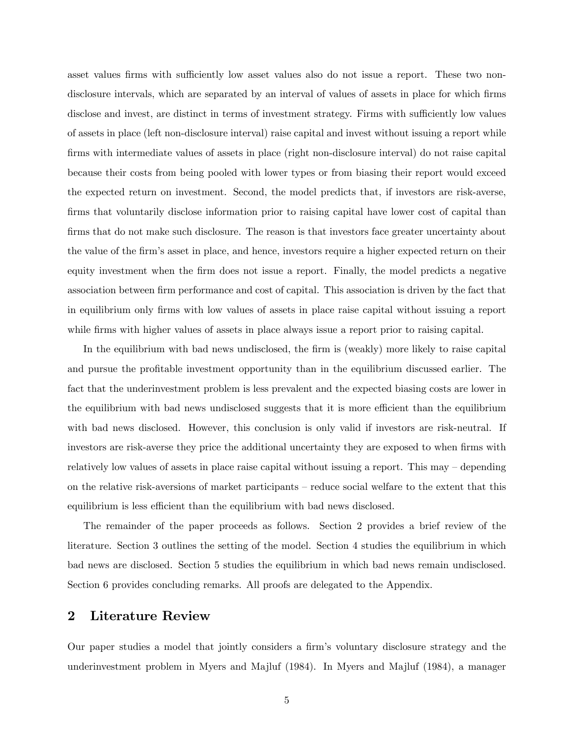asset values firms with sufficiently low asset values also do not issue a report. These two nondisclosure intervals, which are separated by an interval of values of assets in place for which firms disclose and invest, are distinct in terms of investment strategy. Firms with sufficiently low values of assets in place (left non-disclosure interval) raise capital and invest without issuing a report while firms with intermediate values of assets in place (right non-disclosure interval) do not raise capital because their costs from being pooled with lower types or from biasing their report would exceed the expected return on investment. Second, the model predicts that, if investors are risk-averse, firms that voluntarily disclose information prior to raising capital have lower cost of capital than firms that do not make such disclosure. The reason is that investors face greater uncertainty about the value of the Örmís asset in place, and hence, investors require a higher expected return on their equity investment when the Örm does not issue a report. Finally, the model predicts a negative association between firm performance and cost of capital. This association is driven by the fact that in equilibrium only Örms with low values of assets in place raise capital without issuing a report while firms with higher values of assets in place always issue a report prior to raising capital.

In the equilibrium with bad news undisclosed, the firm is (weakly) more likely to raise capital and pursue the profitable investment opportunity than in the equilibrium discussed earlier. The fact that the underinvestment problem is less prevalent and the expected biasing costs are lower in the equilibrium with bad news undisclosed suggests that it is more efficient than the equilibrium with bad news disclosed. However, this conclusion is only valid if investors are risk-neutral. If investors are risk-averse they price the additional uncertainty they are exposed to when firms with relatively low values of assets in place raise capital without issuing a report. This may  $-\tilde{\theta}$  depending on the relative risk-aversions of market participants  $-$  reduce social welfare to the extent that this equilibrium is less efficient than the equilibrium with bad news disclosed.

The remainder of the paper proceeds as follows. Section 2 provides a brief review of the literature. Section 3 outlines the setting of the model. Section 4 studies the equilibrium in which bad news are disclosed. Section 5 studies the equilibrium in which bad news remain undisclosed. Section 6 provides concluding remarks. All proofs are delegated to the Appendix.

## 2 Literature Review

Our paper studies a model that jointly considers a firm's voluntary disclosure strategy and the underinvestment problem in Myers and Majluf (1984). In Myers and Majluf (1984), a manager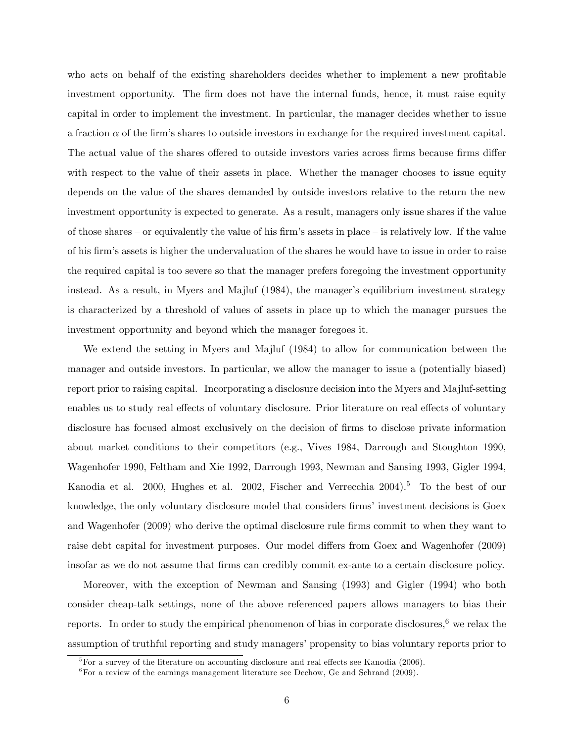who acts on behalf of the existing shareholders decides whether to implement a new profitable investment opportunity. The firm does not have the internal funds, hence, it must raise equity capital in order to implement the investment. In particular, the manager decides whether to issue a fraction  $\alpha$  of the firm's shares to outside investors in exchange for the required investment capital. The actual value of the shares offered to outside investors varies across firms because firms differ with respect to the value of their assets in place. Whether the manager chooses to issue equity depends on the value of the shares demanded by outside investors relative to the return the new investment opportunity is expected to generate. As a result, managers only issue shares if the value of those shares  $-$  or equivalently the value of his firm's assets in place  $-$  is relatively low. If the value of his Örmís assets is higher the undervaluation of the shares he would have to issue in order to raise the required capital is too severe so that the manager prefers foregoing the investment opportunity instead. As a result, in Myers and Majluf  $(1984)$ , the manager's equilibrium investment strategy is characterized by a threshold of values of assets in place up to which the manager pursues the investment opportunity and beyond which the manager foregoes it.

We extend the setting in Myers and Majluf (1984) to allow for communication between the manager and outside investors. In particular, we allow the manager to issue a (potentially biased) report prior to raising capital. Incorporating a disclosure decision into the Myers and Majluf-setting enables us to study real effects of voluntary disclosure. Prior literature on real effects of voluntary disclosure has focused almost exclusively on the decision of firms to disclose private information about market conditions to their competitors (e.g., Vives 1984, Darrough and Stoughton 1990, Wagenhofer 1990, Feltham and Xie 1992, Darrough 1993, Newman and Sansing 1993, Gigler 1994, Kanodia et al. 2000, Hughes et al. 2002, Fischer and Verrecchia 2004).<sup>5</sup> To the best of our knowledge, the only voluntary disclosure model that considers firms' investment decisions is Goex and Wagenhofer (2009) who derive the optimal disclosure rule firms commit to when they want to raise debt capital for investment purposes. Our model differs from Goex and Wagenhofer (2009) insofar as we do not assume that firms can credibly commit ex-ante to a certain disclosure policy.

Moreover, with the exception of Newman and Sansing (1993) and Gigler (1994) who both consider cheap-talk settings, none of the above referenced papers allows managers to bias their reports. In order to study the empirical phenomenon of bias in corporate disclosures, $6$  we relax the assumption of truthful reporting and study managers' propensity to bias voluntary reports prior to

<sup>&</sup>lt;sup>5</sup>For a survey of the literature on accounting disclosure and real effects see Kanodia (2006).

<sup>&</sup>lt;sup>6</sup>For a review of the earnings management literature see Dechow, Ge and Schrand  $(2009)$ .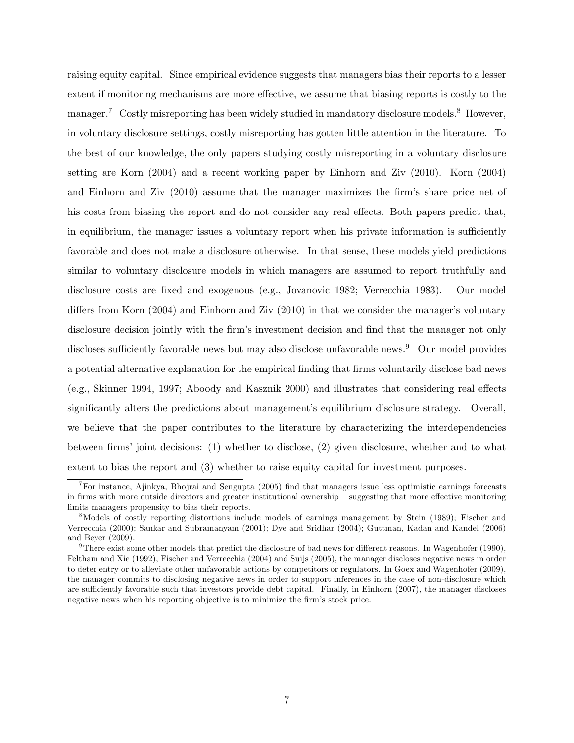raising equity capital. Since empirical evidence suggests that managers bias their reports to a lesser extent if monitoring mechanisms are more effective, we assume that biasing reports is costly to the manager.<sup>7</sup> Costly misreporting has been widely studied in mandatory disclosure models.<sup>8</sup> However, in voluntary disclosure settings, costly misreporting has gotten little attention in the literature. To the best of our knowledge, the only papers studying costly misreporting in a voluntary disclosure setting are Korn (2004) and a recent working paper by Einhorn and Ziv (2010). Korn (2004) and Einhorn and Ziv (2010) assume that the manager maximizes the firm's share price net of his costs from biasing the report and do not consider any real effects. Both papers predict that, in equilibrium, the manager issues a voluntary report when his private information is sufficiently favorable and does not make a disclosure otherwise. In that sense, these models yield predictions similar to voluntary disclosure models in which managers are assumed to report truthfully and disclosure costs are fixed and exogenous (e.g., Jovanovic 1982; Verrecchia 1983). Our model differs from Korn (2004) and Einhorn and Ziv (2010) in that we consider the manager's voluntary disclosure decision jointly with the firm's investment decision and find that the manager not only discloses sufficiently favorable news but may also disclose unfavorable news.<sup>9</sup> Our model provides a potential alternative explanation for the empirical Önding that Örms voluntarily disclose bad news (e.g., Skinner 1994, 1997; Aboody and Kasznik  $2000$ ) and illustrates that considering real effects significantly alters the predictions about management's equilibrium disclosure strategy. Overall, we believe that the paper contributes to the literature by characterizing the interdependencies between firms' joint decisions: (1) whether to disclose, (2) given disclosure, whether and to what extent to bias the report and (3) whether to raise equity capital for investment purposes.

 $7$ For instance, Ajinkya, Bhojrai and Sengupta (2005) find that managers issue less optimistic earnings forecasts in firms with more outside directors and greater institutional ownership – suggesting that more effective monitoring limits managers propensity to bias their reports.

<sup>8</sup>Models of costly reporting distortions include models of earnings management by Stein (1989); Fischer and Verrecchia (2000); Sankar and Subramanyam (2001); Dye and Sridhar (2004); Guttman, Kadan and Kandel (2006) and Beyer (2009).

<sup>&</sup>lt;sup>9</sup>There exist some other models that predict the disclosure of bad news for different reasons. In Wagenhofer (1990), Feltham and Xie (1992), Fischer and Verrecchia (2004) and Suijs (2005), the manager discloses negative news in order to deter entry or to alleviate other unfavorable actions by competitors or regulators. In Goex and Wagenhofer (2009), the manager commits to disclosing negative news in order to support inferences in the case of non-disclosure which are sufficiently favorable such that investors provide debt capital. Finally, in Einhorn (2007), the manager discloses negative news when his reporting objective is to minimize the Örmís stock price.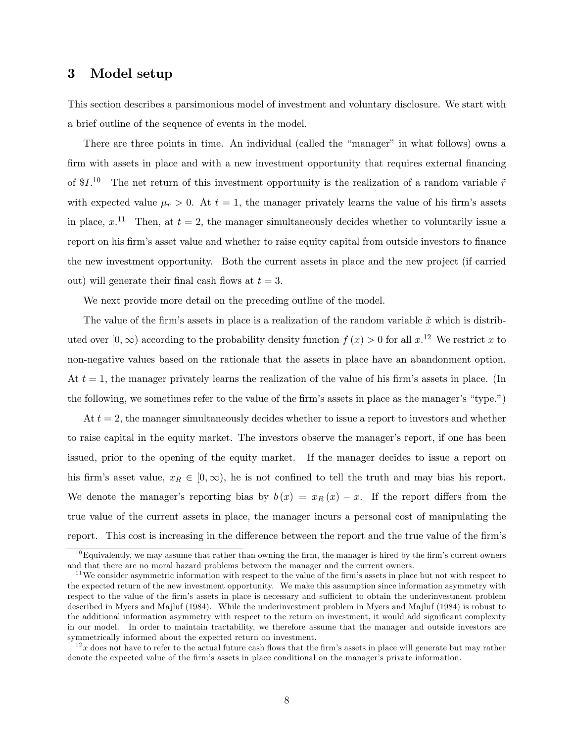## 3 Model setup

This section describes a parsimonious model of investment and voluntary disclosure. We start with a brief outline of the sequence of events in the model.

There are three points in time. An individual (called the "manager" in what follows) owns a firm with assets in place and with a new investment opportunity that requires external financing of \$1.<sup>10</sup> The net return of this investment opportunity is the realization of a random variable  $\tilde{r}$ with expected value  $\mu_r > 0$ . At  $t = 1$ , the manager privately learns the value of his firm's assets in place,  $x^{11}$  Then, at  $t = 2$ , the manager simultaneously decides whether to voluntarily issue a report on his firm's asset value and whether to raise equity capital from outside investors to finance the new investment opportunity. Both the current assets in place and the new project (if carried out) will generate their final cash flows at  $t = 3$ .

We next provide more detail on the preceding outline of the model.

The value of the firm's assets in place is a realization of the random variable  $\tilde{x}$  which is distributed over  $[0,\infty)$  according to the probability density function  $f(x) > 0$  for all  $x$ .<sup>12</sup> We restrict x to non-negative values based on the rationale that the assets in place have an abandonment option. At  $t = 1$ , the manager privately learns the realization of the value of his firm's assets in place. (In the following, we sometimes refer to the value of the firm's assets in place as the manager's "type.")

At  $t = 2$ , the manager simultaneously decides whether to issue a report to investors and whether to raise capital in the equity market. The investors observe the manager's report, if one has been issued, prior to the opening of the equity market. If the manager decides to issue a report on his firm's asset value,  $x_R \in [0,\infty)$ , he is not confined to tell the truth and may bias his report. We denote the manager's reporting bias by  $b(x) = x_R(x) - x$ . If the report differs from the true value of the current assets in place, the manager incurs a personal cost of manipulating the report. This cost is increasing in the difference between the report and the true value of the firm's

 $10$ Equivalently, we may assume that rather than owning the firm, the manager is hired by the firm's current owners and that there are no moral hazard problems between the manager and the current owners.

 $11$  We consider asymmetric information with respect to the value of the firm's assets in place but not with respect to the expected return of the new investment opportunity. We make this assumption since information asymmetry with respect to the value of the firm's assets in place is necessary and sufficient to obtain the underinvestment problem described in Myers and Majluf (1984). While the underinvestment problem in Myers and Majluf (1984) is robust to the additional information asymmetry with respect to the return on investment, it would add significant complexity in our model. In order to maintain tractability, we therefore assume that the manager and outside investors are symmetrically informed about the expected return on investment.

 $12x$  does not have to refer to the actual future cash flows that the firm's assets in place will generate but may rather denote the expected value of the firm's assets in place conditional on the manager's private information.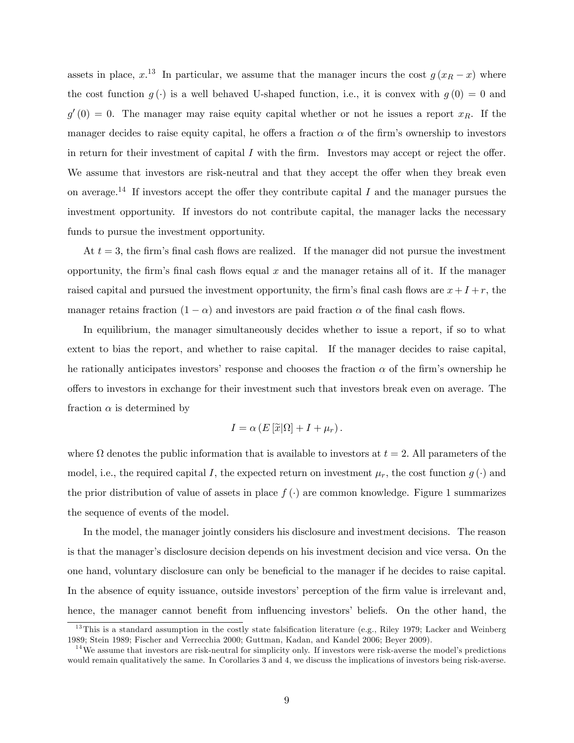assets in place,  $x^{13}$  In particular, we assume that the manager incurs the cost  $g(x_R - x)$  where the cost function  $g(\cdot)$  is a well behaved U-shaped function, i.e., it is convex with  $g(0) = 0$  and  $g'(0) = 0$ . The manager may raise equity capital whether or not he issues a report  $x_R$ . If the manager decides to raise equity capital, he offers a fraction  $\alpha$  of the firm's ownership to investors in return for their investment of capital  $I$  with the firm. Investors may accept or reject the offer. We assume that investors are risk-neutral and that they accept the offer when they break even on average.<sup>14</sup> If investors accept the offer they contribute capital I and the manager pursues the investment opportunity. If investors do not contribute capital, the manager lacks the necessary funds to pursue the investment opportunity.

At  $t = 3$ , the firm's final cash flows are realized. If the manager did not pursue the investment opportunity, the firm's final cash flows equal  $x$  and the manager retains all of it. If the manager raised capital and pursued the investment opportunity, the firm's final cash flows are  $x + I + r$ , the manager retains fraction  $(1 - \alpha)$  and investors are paid fraction  $\alpha$  of the final cash flows.

In equilibrium, the manager simultaneously decides whether to issue a report, if so to what extent to bias the report, and whether to raise capital. If the manager decides to raise capital, he rationally anticipates investors' response and chooses the fraction  $\alpha$  of the firm's ownership he o§ers to investors in exchange for their investment such that investors break even on average. The fraction  $\alpha$  is determined by

$$
I = \alpha \left( E \left[ \widetilde{x} | \Omega \right] + I + \mu_r \right).
$$

where  $\Omega$  denotes the public information that is available to investors at  $t = 2$ . All parameters of the model, i.e., the required capital I, the expected return on investment  $\mu_r$ , the cost function  $g(\cdot)$  and the prior distribution of value of assets in place  $f(\cdot)$  are common knowledge. Figure 1 summarizes the sequence of events of the model.

In the model, the manager jointly considers his disclosure and investment decisions. The reason is that the manager's disclosure decision depends on his investment decision and vice versa. On the one hand, voluntary disclosure can only be beneficial to the manager if he decides to raise capital. In the absence of equity issuance, outside investors' perception of the firm value is irrelevant and, hence, the manager cannot benefit from influencing investors' beliefs. On the other hand, the

 $13$ This is a standard assumption in the costly state falsification literature (e.g., Riley 1979; Lacker and Weinberg 1989; Stein 1989; Fischer and Verrecchia 2000; Guttman, Kadan, and Kandel 2006; Beyer 2009).

 $14\,\text{We assume that investors are risk-neutral for simplicity only. If investors were risk-averse the model's predictions.}$ would remain qualitatively the same. In Corollaries 3 and 4, we discuss the implications of investors being risk-averse.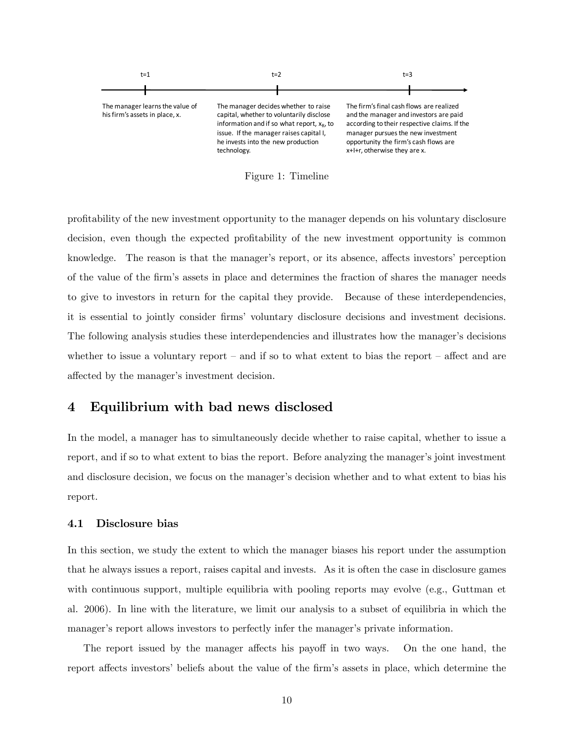



proÖtability of the new investment opportunity to the manager depends on his voluntary disclosure decision, even though the expected profitability of the new investment opportunity is common knowledge. The reason is that the manager's report, or its absence, affects investors' perception of the value of the firm's assets in place and determines the fraction of shares the manager needs to give to investors in return for the capital they provide. Because of these interdependencies, it is essential to jointly consider firms' voluntary disclosure decisions and investment decisions. The following analysis studies these interdependencies and illustrates how the manager's decisions whether to issue a voluntary report  $-$  and if so to what extent to bias the report  $-$  affect and are affected by the manager's investment decision.

# 4 Equilibrium with bad news disclosed

In the model, a manager has to simultaneously decide whether to raise capital, whether to issue a report, and if so to what extent to bias the report. Before analyzing the manager's joint investment and disclosure decision, we focus on the manager's decision whether and to what extent to bias his report.

## 4.1 Disclosure bias

In this section, we study the extent to which the manager biases his report under the assumption that he always issues a report, raises capital and invests. As it is often the case in disclosure games with continuous support, multiple equilibria with pooling reports may evolve (e.g., Guttman et al. 2006). In line with the literature, we limit our analysis to a subset of equilibria in which the manager's report allows investors to perfectly infer the manager's private information.

The report issued by the manager affects his payoff in two ways. On the one hand, the report affects investors' beliefs about the value of the firm's assets in place, which determine the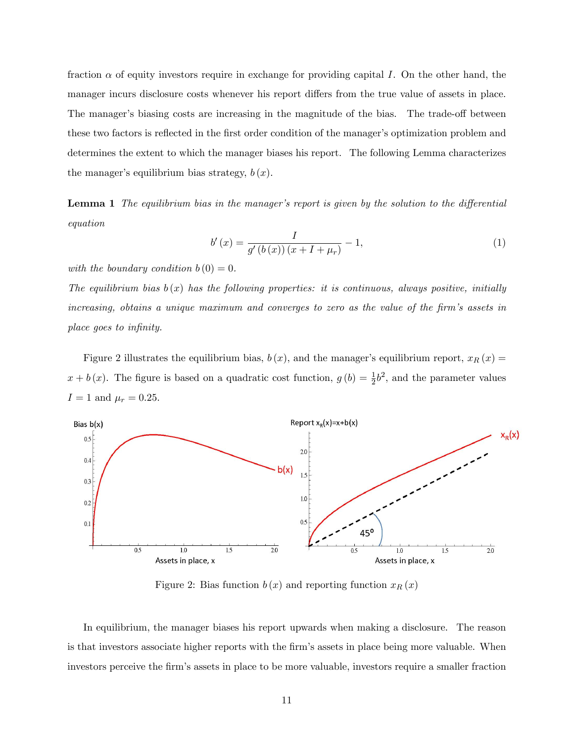fraction  $\alpha$  of equity investors require in exchange for providing capital I. On the other hand, the manager incurs disclosure costs whenever his report differs from the true value of assets in place. The manager's biasing costs are increasing in the magnitude of the bias. The trade-off between these two factors is reflected in the first order condition of the manager's optimization problem and determines the extent to which the manager biases his report. The following Lemma characterizes the manager's equilibrium bias strategy,  $b(x)$ .

**Lemma 1** The equilibrium bias in the manager's report is given by the solution to the differential equation

$$
b'(x) = \frac{I}{g'(b(x))(x + I + \mu_r)} - 1,
$$
\n(1)

with the boundary condition  $b(0) = 0$ .

The equilibrium bias  $b(x)$  has the following properties: it is continuous, always positive, initially increasing, obtains a unique maximum and converges to zero as the value of the firm's assets in place goes to infinity.

Figure 2 illustrates the equilibrium bias,  $b(x)$ , and the manager's equilibrium report,  $x_R(x) =$  $x + b(x)$ . The figure is based on a quadratic cost function,  $g(b) = \frac{1}{2}b^2$ , and the parameter values  $I = 1$  and  $\mu_r = 0.25$ .



Figure 2: Bias function  $b(x)$  and reporting function  $x_R(x)$ 

In equilibrium, the manager biases his report upwards when making a disclosure. The reason is that investors associate higher reports with the firm's assets in place being more valuable. When investors perceive the firm's assets in place to be more valuable, investors require a smaller fraction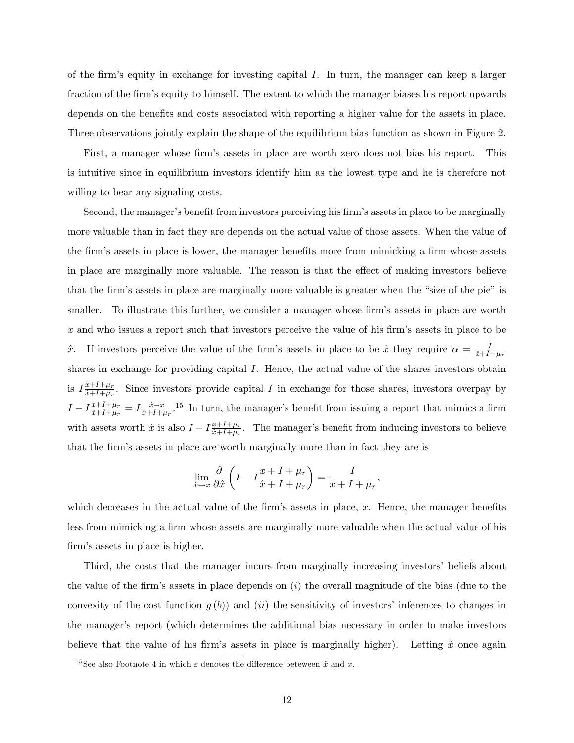of the firm's equity in exchange for investing capital  $I$ . In turn, the manager can keep a larger fraction of the firm's equity to himself. The extent to which the manager biases his report upwards depends on the benefits and costs associated with reporting a higher value for the assets in place. Three observations jointly explain the shape of the equilibrium bias function as shown in Figure 2.

First, a manager whose firm's assets in place are worth zero does not bias his report. This is intuitive since in equilibrium investors identify him as the lowest type and he is therefore not willing to bear any signaling costs.

Second, the manager's benefit from investors perceiving his firm's assets in place to be marginally more valuable than in fact they are depends on the actual value of those assets. When the value of the firm's assets in place is lower, the manager benefits more from mimicking a firm whose assets in place are marginally more valuable. The reason is that the effect of making investors believe that the firm's assets in place are marginally more valuable is greater when the "size of the pie" is smaller. To illustrate this further, we consider a manager whose firm's assets in place are worth  $x$  and who issues a report such that investors perceive the value of his firm's assets in place to be  $\hat{x}$ . If investors perceive the value of the firm's assets in place to be  $\hat{x}$  they require  $\alpha = \frac{1}{\hat{x}+L}$  $\hat{x}+I+\mu_r$ shares in exchange for providing capital I. Hence, the actual value of the shares investors obtain is  $I \frac{x+I+\mu_r}{\hat{x}+I+\mu_r}$  $\frac{x+I+\mu_r}{\hat{x}+I+\mu_r}$ . Since investors provide capital I in exchange for those shares, investors overpay by  $I-I \frac{x+I+\mu_r}{\hat{x}+I+\mu_r}$  $\frac{x+I+\mu_r}{\hat{x}+I+\mu_r} = I\frac{\hat{x}-x}{\hat{x}+I+\mu_r}$ .<sup>15</sup> In turn, the manager's benefit from issuing a report that mimics a firm with assets worth  $\hat{x}$  is also  $I - I \frac{x+I+\mu_r}{\hat{x}+I+\mu_r}$  $\frac{x+I+\mu_r}{\hat{x}+I+\mu_r}$ . The manager's benefit from inducing investors to believe that the firm's assets in place are worth marginally more than in fact they are is

$$
\lim_{\hat{x}\to x}\frac{\partial}{\partial \hat{x}}\left(I - I\frac{x+I+\mu_r}{\hat{x}+I+\mu_r}\right) = \frac{I}{x+I+\mu_r},
$$

which decreases in the actual value of the firm's assets in place,  $x$ . Hence, the manager benefits less from mimicking a firm whose assets are marginally more valuable when the actual value of his firm's assets in place is higher.

Third, the costs that the manager incurs from marginally increasing investors' beliefs about the value of the firm's assets in place depends on  $(i)$  the overall magnitude of the bias (due to the convexity of the cost function  $g(b)$  and (ii) the sensitivity of investors' inferences to changes in the managerís report (which determines the additional bias necessary in order to make investors believe that the value of his firm's assets in place is marginally higher). Letting  $\hat{x}$  once again

<sup>&</sup>lt;sup>15</sup>See also Footnote 4 in which  $\varepsilon$  denotes the difference beteween  $\hat{x}$  and x.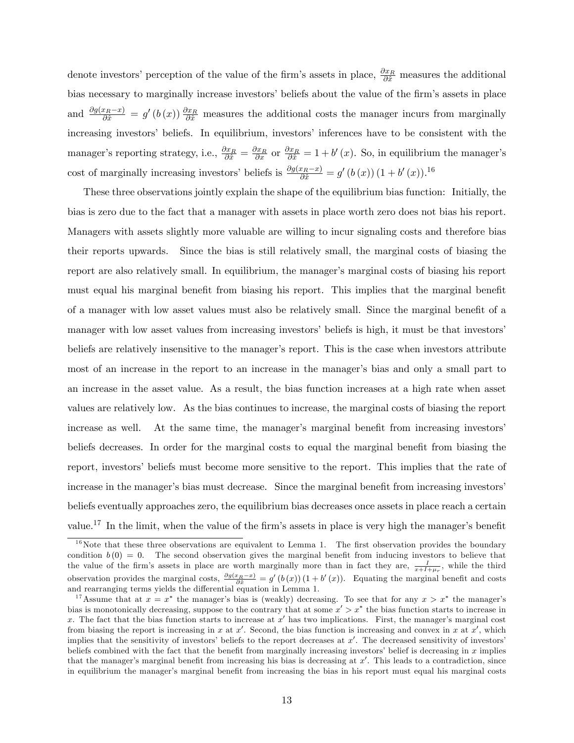denote investors' perception of the value of the firm's assets in place,  $\frac{\partial x_R}{\partial \hat{x}}$  measures the additional bias necessary to marginally increase investors' beliefs about the value of the firm's assets in place and  $\frac{\partial g(x_R - x)}{\partial \hat{x}} = g'(b(x)) \frac{\partial x_R}{\partial \hat{x}}$  measures the additional costs the manager incurs from marginally increasing investors' beliefs. In equilibrium, investors' inferences have to be consistent with the manager's reporting strategy, i.e.,  $\frac{\partial x_R}{\partial \hat{x}} = \frac{\partial x_R}{\partial x}$  or  $\frac{\partial x_R}{\partial \hat{x}} = 1 + b'(x)$ . So, in equilibrium the manager's cost of marginally increasing investors' beliefs is  $\frac{\partial g(x_R - x)}{\partial \hat{x}} = g'(b(x))(1 + b'(x))$ .<sup>16</sup>

These three observations jointly explain the shape of the equilibrium bias function: Initially, the bias is zero due to the fact that a manager with assets in place worth zero does not bias his report. Managers with assets slightly more valuable are willing to incur signaling costs and therefore bias their reports upwards. Since the bias is still relatively small, the marginal costs of biasing the report are also relatively small. In equilibrium, the manager's marginal costs of biasing his report must equal his marginal benefit from biasing his report. This implies that the marginal benefit of a manager with low asset values must also be relatively small. Since the marginal benefit of a manager with low asset values from increasing investors' beliefs is high, it must be that investors beliefs are relatively insensitive to the manager's report. This is the case when investors attribute most of an increase in the report to an increase in the manager's bias and only a small part to an increase in the asset value. As a result, the bias function increases at a high rate when asset values are relatively low. As the bias continues to increase, the marginal costs of biasing the report increase as well. At the same time, the manager's marginal benefit from increasing investors' beliefs decreases. In order for the marginal costs to equal the marginal benefit from biasing the report, investors' beliefs must become more sensitive to the report. This implies that the rate of increase in the manager's bias must decrease. Since the marginal benefit from increasing investors' beliefs eventually approaches zero, the equilibrium bias decreases once assets in place reach a certain value.<sup>17</sup> In the limit, when the value of the firm's assets in place is very high the manager's benefit

 $16$ Note that these three observations are equivalent to Lemma 1. The first observation provides the boundary condition  $b(0) = 0$ . The second observation gives the marginal benefit from inducing investors to believe that the value of the firm's assets in place are worth marginally more than in fact they are,  $\frac{1}{x+I+\mu_r}$ , while the third observation provides the marginal costs,  $\frac{\partial g(x_R - x)}{\partial \hat{x}} = g'(b(x))(1 + b'(x))$ . Equating the marginal benefit and costs and rearranging terms yields the differential equation in Lemma 1.

<sup>&</sup>lt;sup>17</sup>Assume that at  $x = x^*$  the manager's bias is (weakly) decreasing. To see that for any  $x > x^*$  the manager's bias is monotonically decreasing, suppose to the contrary that at some  $x' > x^*$  the bias function starts to increase in x. The fact that the bias function starts to increase at  $x'$  has two implications. First, the manager's marginal cost from biasing the report is increasing in x at  $x'$ . Second, the bias function is increasing and convex in x at  $x'$ , which implies that the sensitivity of investors' beliefs to the report decreases at  $x'$ . The decreased sensitivity of investors' beliefs combined with the fact that the benefit from marginally increasing investors' belief is decreasing in  $x$  implies that the manager's marginal benefit from increasing his bias is decreasing at  $x'$ . This leads to a contradiction, since in equilibrium the manager's marginal benefit from increasing the bias in his report must equal his marginal costs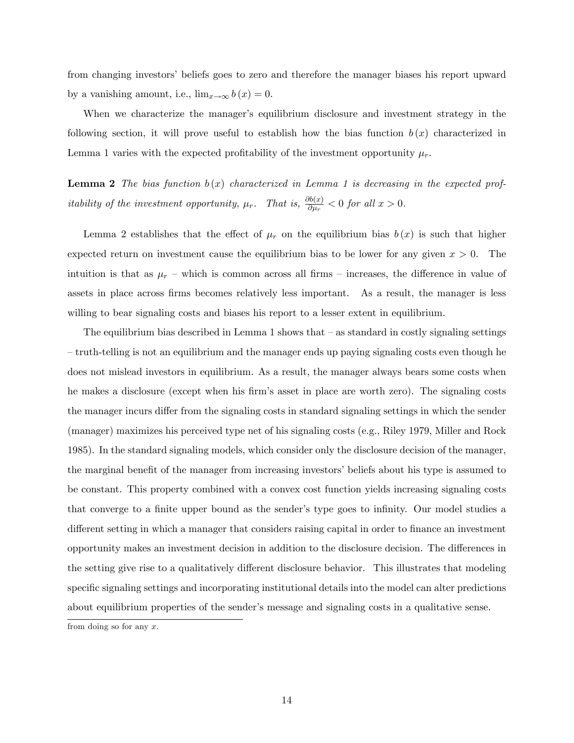from changing investors' beliefs goes to zero and therefore the manager biases his report upward by a vanishing amount, i.e.,  $\lim_{x\to\infty} b(x) = 0.$ 

When we characterize the manager's equilibrium disclosure and investment strategy in the following section, it will prove useful to establish how the bias function  $b(x)$  characterized in Lemma 1 varies with the expected profitability of the investment opportunity  $\mu_r$ .

**Lemma 2** The bias function  $b(x)$  characterized in Lemma 1 is decreasing in the expected profitability of the investment opportunity,  $\mu_r$ . That is,  $\frac{\partial b(x)}{\partial \mu_r} < 0$  for all  $x > 0$ .

Lemma 2 establishes that the effect of  $\mu_r$  on the equilibrium bias  $b(x)$  is such that higher expected return on investment cause the equilibrium bias to be lower for any given  $x > 0$ . The intuition is that as  $\mu_r$  – which is common across all firms – increases, the difference in value of assets in place across firms becomes relatively less important. As a result, the manager is less willing to bear signaling costs and biases his report to a lesser extent in equilibrium.

The equilibrium bias described in Lemma 1 shows that  $-$  as standard in costly signaling settings  $-$  truth-telling is not an equilibrium and the manager ends up paying signaling costs even though he does not mislead investors in equilibrium. As a result, the manager always bears some costs when he makes a disclosure (except when his firm's asset in place are worth zero). The signaling costs the manager incurs differ from the signaling costs in standard signaling settings in which the sender (manager) maximizes his perceived type net of his signaling costs (e.g., Riley 1979, Miller and Rock 1985). In the standard signaling models, which consider only the disclosure decision of the manager, the marginal benefit of the manager from increasing investors' beliefs about his type is assumed to be constant. This property combined with a convex cost function yields increasing signaling costs that converge to a finite upper bound as the sender's type goes to infinity. Our model studies a different setting in which a manager that considers raising capital in order to finance an investment opportunity makes an investment decision in addition to the disclosure decision. The differences in the setting give rise to a qualitatively different disclosure behavior. This illustrates that modeling specific signaling settings and incorporating institutional details into the model can alter predictions about equilibrium properties of the sender's message and signaling costs in a qualitative sense.

from doing so for any  $x$ .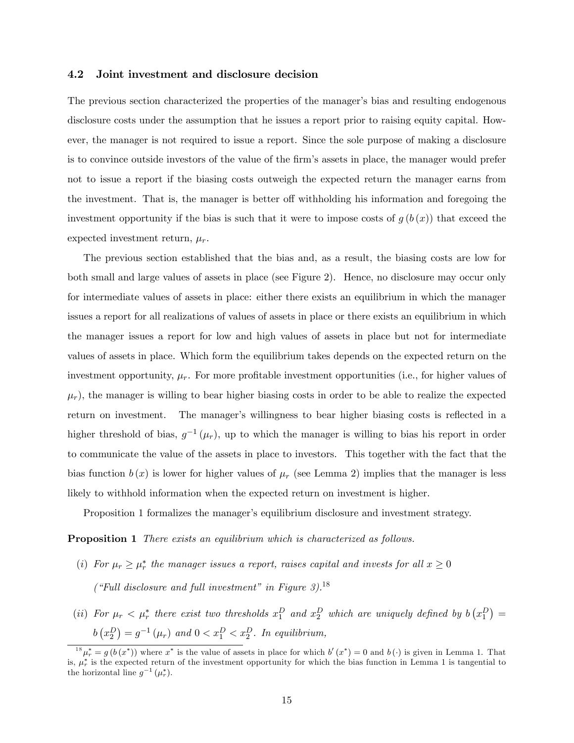### 4.2 Joint investment and disclosure decision

The previous section characterized the properties of the manager's bias and resulting endogenous disclosure costs under the assumption that he issues a report prior to raising equity capital. However, the manager is not required to issue a report. Since the sole purpose of making a disclosure is to convince outside investors of the value of the firm's assets in place, the manager would prefer not to issue a report if the biasing costs outweigh the expected return the manager earns from the investment. That is, the manager is better off withholding his information and foregoing the investment opportunity if the bias is such that it were to impose costs of  $g(b(x))$  that exceed the expected investment return,  $\mu_r$ .

The previous section established that the bias and, as a result, the biasing costs are low for both small and large values of assets in place (see Figure 2). Hence, no disclosure may occur only for intermediate values of assets in place: either there exists an equilibrium in which the manager issues a report for all realizations of values of assets in place or there exists an equilibrium in which the manager issues a report for low and high values of assets in place but not for intermediate values of assets in place. Which form the equilibrium takes depends on the expected return on the investment opportunity,  $\mu_r$ . For more profitable investment opportunities (i.e., for higher values of  $\mu_r$ ), the manager is willing to bear higher biasing costs in order to be able to realize the expected return on investment. The manager's willingness to bear higher biasing costs is reflected in a higher threshold of bias,  $g^{-1}(\mu_r)$ , up to which the manager is willing to bias his report in order to communicate the value of the assets in place to investors. This together with the fact that the bias function  $b(x)$  is lower for higher values of  $\mu_r$  (see Lemma 2) implies that the manager is less likely to withhold information when the expected return on investment is higher.

Proposition 1 formalizes the manager's equilibrium disclosure and investment strategy.

**Proposition 1** There exists an equilibrium which is characterized as follows.

- (i) For  $\mu_r \geq \mu_r^*$  the manager issues a report, raises capital and invests for all  $x \geq 0$ ("Full disclosure and full investment" in Figure 3).<sup>18</sup>
- (ii) For  $\mu_r < \mu_r^*$  there exist two thresholds  $x_1^D$  and  $x_2^D$  which are uniquely defined by  $b(x_1^D)$  =  $b\left(x_2^D\right) = g^{-1}\left(\mu_r\right)$  and  $0 < x_1^D < x_2^D$ . In equilibrium,

 $1^8 \mu_r^* = g(b(x^*))$  where  $x^*$  is the value of assets in place for which  $b'(x^*) = 0$  and  $b(\cdot)$  is given in Lemma 1. That is,  $\mu_r^*$  is the expected return of the investment opportunity for which the bias function in Lemma 1 is tangential to the horizontal line  $g^{-1}(\mu_r^*).$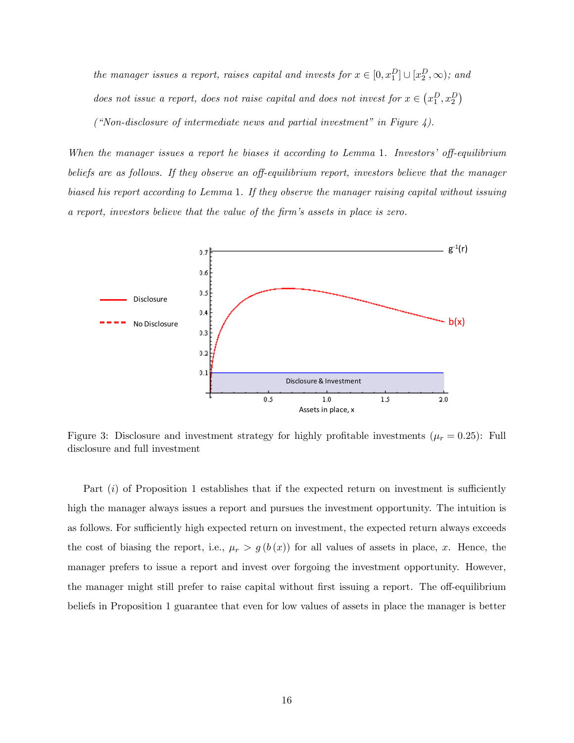the manager issues a report, raises capital and invests for  $x \in [0, x_1^D] \cup [x_2^D, \infty)$ ; and does not issue a report, does not raise capital and does not invest for  $x \in (x_1^D, x_2^D)$ ("Non-disclosure of intermediate news and partial investment" in Figure  $\downarrow$ ).

When the manager issues a report he biases it according to Lemma 1. Investors' off-equilibrium beliefs are as follows. If they observe an off-equilibrium report, investors believe that the manager biased his report according to Lemma 1. If they observe the manager raising capital without issuing a report, investors believe that the value of the Örmís assets in place is zero.



Figure 3: Disclosure and investment strategy for highly profitable investments ( $\mu_r = 0.25$ ): Full disclosure and full investment

Part  $(i)$  of Proposition 1 establishes that if the expected return on investment is sufficiently high the manager always issues a report and pursues the investment opportunity. The intuition is as follows. For sufficiently high expected return on investment, the expected return always exceeds the cost of biasing the report, i.e.,  $\mu_r > g(b(x))$  for all values of assets in place, x. Hence, the manager prefers to issue a report and invest over forgoing the investment opportunity. However, the manager might still prefer to raise capital without first issuing a report. The off-equilibrium beliefs in Proposition 1 guarantee that even for low values of assets in place the manager is better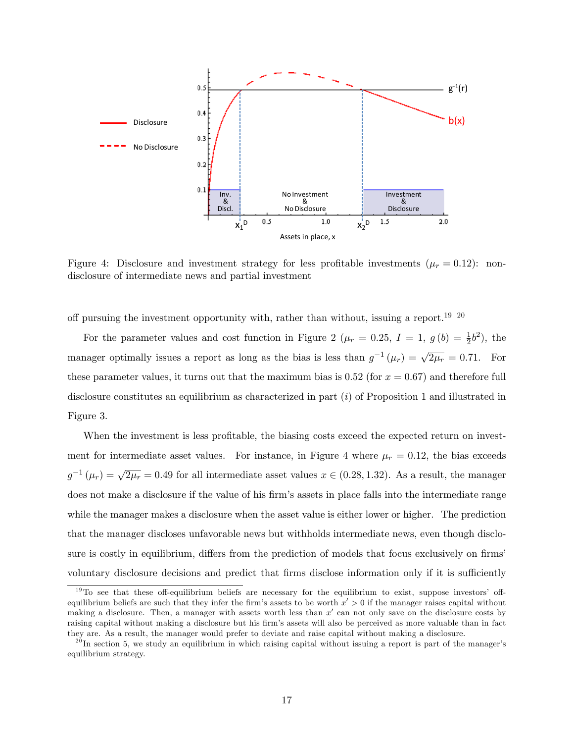

Figure 4: Disclosure and investment strategy for less profitable investments  $(\mu_r = 0.12)$ : nondisclosure of intermediate news and partial investment

off pursuing the investment opportunity with, rather than without, issuing a report.<sup>19</sup>  $20$ 

For the parameter values and cost function in Figure 2 ( $\mu_r = 0.25$ ,  $I = 1$ ,  $g(b) = \frac{1}{2}b^2$ ), the manager optimally issues a report as long as the bias is less than  $g^{-1}(\mu_r) = \sqrt{2\mu_r} = 0.71$ . For these parameter values, it turns out that the maximum bias is 0.52 (for  $x = 0.67$ ) and therefore full disclosure constitutes an equilibrium as characterized in part (i) of Proposition 1 and illustrated in Figure 3.

When the investment is less profitable, the biasing costs exceed the expected return on investment for intermediate asset values. For instance, in Figure 4 where  $\mu_r = 0.12$ , the bias exceeds  $g^{-1}(\mu_r) = \sqrt{2\mu_r} = 0.49$  for all intermediate asset values  $x \in (0.28, 1.32)$ . As a result, the manager does not make a disclosure if the value of his firm's assets in place falls into the intermediate range while the manager makes a disclosure when the asset value is either lower or higher. The prediction that the manager discloses unfavorable news but withholds intermediate news, even though disclosure is costly in equilibrium, differs from the prediction of models that focus exclusively on firms voluntary disclosure decisions and predict that firms disclose information only if it is sufficiently

 $19\text{To see that these off-equilibrium beliefs are necessary for the equilibrium to exist, suppose investors' off$ equilibrium beliefs are such that they infer the firm's assets to be worth  $x' > 0$  if the manager raises capital without making a disclosure. Then, a manager with assets worth less than  $x'$  can not only save on the disclosure costs by raising capital without making a disclosure but his firm's assets will also be perceived as more valuable than in fact they are. As a result, the manager would prefer to deviate and raise capital without making a disclosure.

 $^{20}$ In section 5, we study an equilibrium in which raising capital without issuing a report is part of the manager's equilibrium strategy.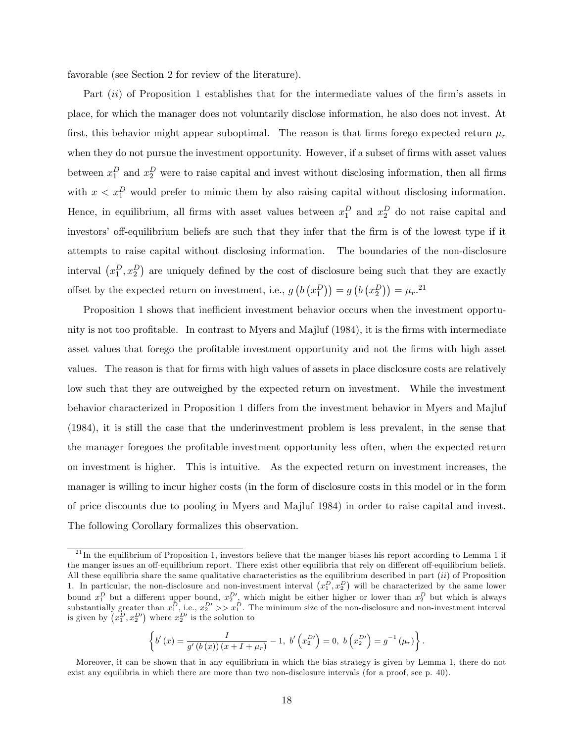favorable (see Section 2 for review of the literature).

Part  $(ii)$  of Proposition 1 establishes that for the intermediate values of the firm's assets in place, for which the manager does not voluntarily disclose information, he also does not invest. At first, this behavior might appear suboptimal. The reason is that firms forego expected return  $\mu_r$ when they do not pursue the investment opportunity. However, if a subset of firms with asset values between  $x_1^D$  and  $x_2^D$  were to raise capital and invest without disclosing information, then all firms with  $x < x_1^D$  would prefer to mimic them by also raising capital without disclosing information. Hence, in equilibrium, all firms with asset values between  $x_1^D$  and  $x_2^D$  do not raise capital and investors' off-equilibrium beliefs are such that they infer that the firm is of the lowest type if it attempts to raise capital without disclosing information. The boundaries of the non-disclosure interval  $(x_1^D, x_2^D)$  are uniquely defined by the cost of disclosure being such that they are exactly offset by the expected return on investment, i.e.,  $g\left(b\left(x_1^D\right)\right) = g\left(b\left(x_2^D\right)\right) = \mu_r$ .<sup>21</sup>

Proposition 1 shows that inefficient investment behavior occurs when the investment opportunity is not too profitable. In contrast to Myers and Majluf (1984), it is the firms with intermediate asset values that forego the profitable investment opportunity and not the firms with high asset values. The reason is that for Örms with high values of assets in place disclosure costs are relatively low such that they are outweighed by the expected return on investment. While the investment behavior characterized in Proposition 1 differs from the investment behavior in Myers and Majluf (1984), it is still the case that the underinvestment problem is less prevalent, in the sense that the manager foregoes the profitable investment opportunity less often, when the expected return on investment is higher. This is intuitive. As the expected return on investment increases, the manager is willing to incur higher costs (in the form of disclosure costs in this model or in the form of price discounts due to pooling in Myers and Majluf 1984) in order to raise capital and invest. The following Corollary formalizes this observation.

$$
\left\{b'(x) = \frac{I}{g'(b(x))(x + I + \mu_r)} - 1, \ b'\left(x_2^{D'}\right) = 0, \ b\left(x_2^{D'}\right) = g^{-1}\left(\mu_r\right)\right\}.
$$

 $^{21}$ In the equilibrium of Proposition 1, investors believe that the manger biases his report according to Lemma 1 if the manger issues an off-equilibrium report. There exist other equilibria that rely on different off-equilibrium beliefs. All these equilibria share the same qualitative characteristics as the equilibrium described in part  $(ii)$  of Proposition 1. In particular, the non-disclosure and non-investment interval  $(x_1^D, x_2^D)$  will be characterized by the same lower bound  $x_1^D$  but a different upper bound,  $x_2^{D'}$ , which might be either higher or lower than  $x_2^D$  but which is always substantially greater than  $x_1^D$ , i.e.,  $x_2^{D'} >> x_1^D$ . The minimum size of the non-disclosure and non-investment interval is given by  $(x_1^D, x_2^D)$  where  $x_2^D$  is the solution to

Moreover, it can be shown that in any equilibrium in which the bias strategy is given by Lemma 1, there do not exist any equilibria in which there are more than two non-disclosure intervals (for a proof, see p. 40).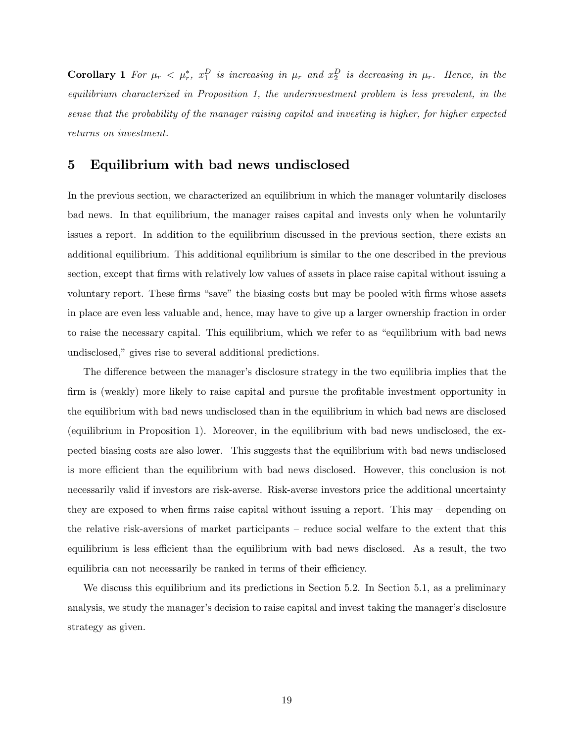Corollary 1 For  $\mu_r < \mu_r^*$ ,  $x_1^D$  is increasing in  $\mu_r$  and  $x_2^D$  is decreasing in  $\mu_r$ . Hence, in the equilibrium characterized in Proposition 1, the underinvestment problem is less prevalent, in the sense that the probability of the manager raising capital and investing is higher, for higher expected returns on investment.

## 5 Equilibrium with bad news undisclosed

In the previous section, we characterized an equilibrium in which the manager voluntarily discloses bad news. In that equilibrium, the manager raises capital and invests only when he voluntarily issues a report. In addition to the equilibrium discussed in the previous section, there exists an additional equilibrium. This additional equilibrium is similar to the one described in the previous section, except that firms with relatively low values of assets in place raise capital without issuing a voluntary report. These firms "save" the biasing costs but may be pooled with firms whose assets in place are even less valuable and, hence, may have to give up a larger ownership fraction in order to raise the necessary capital. This equilibrium, which we refer to as "equilibrium with bad news undisclosed," gives rise to several additional predictions.

The difference between the manager's disclosure strategy in the two equilibria implies that the firm is (weakly) more likely to raise capital and pursue the profitable investment opportunity in the equilibrium with bad news undisclosed than in the equilibrium in which bad news are disclosed (equilibrium in Proposition 1). Moreover, in the equilibrium with bad news undisclosed, the expected biasing costs are also lower. This suggests that the equilibrium with bad news undisclosed is more efficient than the equilibrium with bad news disclosed. However, this conclusion is not necessarily valid if investors are risk-averse. Risk-averse investors price the additional uncertainty they are exposed to when firms raise capital without issuing a report. This may  $-$  depending on the relative risk-aversions of market participants  $-$  reduce social welfare to the extent that this equilibrium is less efficient than the equilibrium with bad news disclosed. As a result, the two equilibria can not necessarily be ranked in terms of their efficiency.

We discuss this equilibrium and its predictions in Section 5.2. In Section 5.1, as a preliminary analysis, we study the manager's decision to raise capital and invest taking the manager's disclosure strategy as given.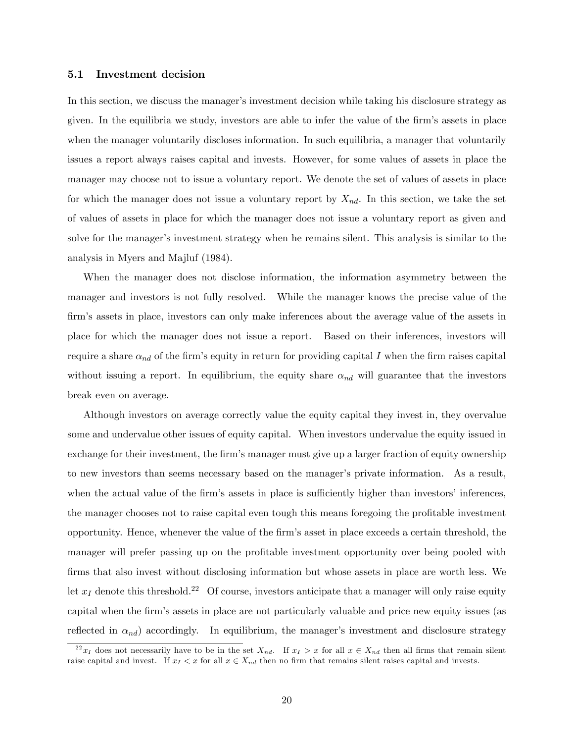### 5.1 Investment decision

In this section, we discuss the manager's investment decision while taking his disclosure strategy as given. In the equilibria we study, investors are able to infer the value of the firm's assets in place when the manager voluntarily discloses information. In such equilibria, a manager that voluntarily issues a report always raises capital and invests. However, for some values of assets in place the manager may choose not to issue a voluntary report. We denote the set of values of assets in place for which the manager does not issue a voluntary report by  $X_{nd}$ . In this section, we take the set of values of assets in place for which the manager does not issue a voluntary report as given and solve for the manager's investment strategy when he remains silent. This analysis is similar to the analysis in Myers and Majluf (1984).

When the manager does not disclose information, the information asymmetry between the manager and investors is not fully resolved. While the manager knows the precise value of the firm's assets in place, investors can only make inferences about the average value of the assets in place for which the manager does not issue a report. Based on their inferences, investors will require a share  $\alpha_{nd}$  of the firm's equity in return for providing capital I when the firm raises capital without issuing a report. In equilibrium, the equity share  $\alpha_{nd}$  will guarantee that the investors break even on average.

Although investors on average correctly value the equity capital they invest in, they overvalue some and undervalue other issues of equity capital. When investors undervalue the equity issued in exchange for their investment, the firm's manager must give up a larger fraction of equity ownership to new investors than seems necessary based on the manager's private information. As a result, when the actual value of the firm's assets in place is sufficiently higher than investors' inferences, the manager chooses not to raise capital even tough this means foregoing the profitable investment opportunity. Hence, whenever the value of the Örmís asset in place exceeds a certain threshold, the manager will prefer passing up on the profitable investment opportunity over being pooled with firms that also invest without disclosing information but whose assets in place are worth less. We let  $x_I$  denote this threshold.<sup>22</sup> Of course, investors anticipate that a manager will only raise equity capital when the Örmís assets in place are not particularly valuable and price new equity issues (as reflected in  $\alpha_{nd}$ ) accordingly. In equilibrium, the manager's investment and disclosure strategy

<sup>&</sup>lt;sup>22</sup>x<sub>I</sub> does not necessarily have to be in the set  $X_{nd}$ . If  $x_I > x$  for all  $x \in X_{nd}$  then all firms that remain silent raise capital and invest. If  $x_I < x$  for all  $x \in X_{nd}$  then no firm that remains silent raises capital and invests.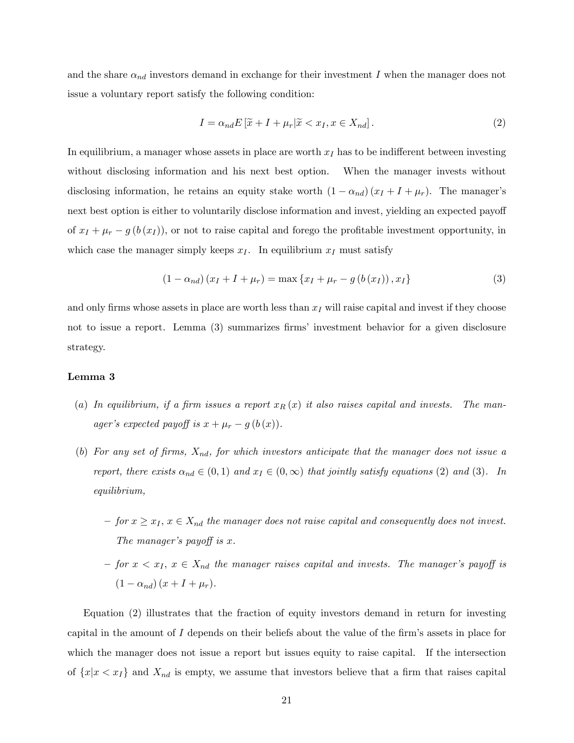and the share  $\alpha_{nd}$  investors demand in exchange for their investment I when the manager does not issue a voluntary report satisfy the following condition:

$$
I = \alpha_{nd} E\left[\tilde{x} + I + \mu_r | \tilde{x} < x_I, x \in X_{nd}\right].\tag{2}
$$

In equilibrium, a manager whose assets in place are worth  $x_I$  has to be indifferent between investing without disclosing information and his next best option. When the manager invests without disclosing information, he retains an equity stake worth  $(1 - \alpha_{nd})(x_I + I + \mu_r)$ . The manager's next best option is either to voluntarily disclose information and invest, yielding an expected payoff of  $x_I + \mu_r - g(b(x_I))$ , or not to raise capital and forego the profitable investment opportunity, in which case the manager simply keeps  $x_I$ . In equilibrium  $x_I$  must satisfy

$$
(1 - \alpha_{nd}) (x_I + I + \mu_r) = \max \{ x_I + \mu_r - g(b(x_I)), x_I \}
$$
 (3)

and only firms whose assets in place are worth less than  $x<sub>I</sub>$  will raise capital and invest if they choose not to issue a report. Lemma (3) summarizes firms' investment behavior for a given disclosure strategy.

### Lemma 3

- (a) In equilibrium, if a firm issues a report  $x_R(x)$  it also raises capital and invests. The manager's expected payoff is  $x + \mu_r - g(b(x))$ .
- (b) For any set of firms,  $X_{nd}$ , for which investors anticipate that the manager does not issue a report, there exists  $\alpha_{nd} \in (0,1)$  and  $x_I \in (0,\infty)$  that jointly satisfy equations (2) and (3). In equilibrium,
	- $\overline{f}$  for  $x \geq x_I$ ,  $x \in X_{nd}$  the manager does not raise capital and consequently does not invest. The manager's payoff is  $x$ .
	- $f$  for  $x < x_I$ ,  $x \in X_{nd}$  the manager raises capital and invests. The manager's payoff is  $(1 - \alpha_{nd}) (x + I + \mu_r).$

Equation (2) illustrates that the fraction of equity investors demand in return for investing capital in the amount of  $I$  depends on their beliefs about the value of the firm's assets in place for which the manager does not issue a report but issues equity to raise capital. If the intersection of  $\{x|x < x_I\}$  and  $X_{nd}$  is empty, we assume that investors believe that a firm that raises capital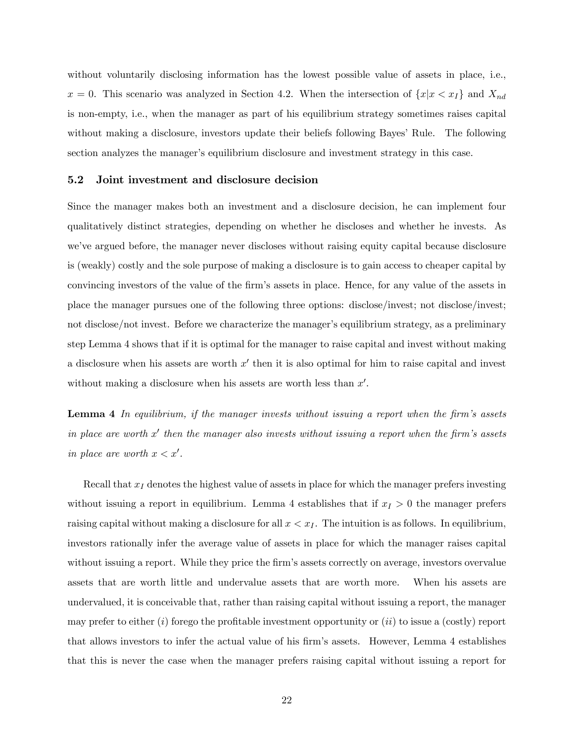without voluntarily disclosing information has the lowest possible value of assets in place, i.e.,  $x = 0$ . This scenario was analyzed in Section 4.2. When the intersection of  $\{x | x \lt x_I\}$  and  $X_{nd}$ is non-empty, i.e., when the manager as part of his equilibrium strategy sometimes raises capital without making a disclosure, investors update their beliefs following Bayes' Rule. The following section analyzes the manager's equilibrium disclosure and investment strategy in this case.

### 5.2 Joint investment and disclosure decision

Since the manager makes both an investment and a disclosure decision, he can implement four qualitatively distinct strategies, depending on whether he discloses and whether he invests. As we've argued before, the manager never discloses without raising equity capital because disclosure is (weakly) costly and the sole purpose of making a disclosure is to gain access to cheaper capital by convincing investors of the value of the firm's assets in place. Hence, for any value of the assets in place the manager pursues one of the following three options: disclose/invest; not disclose/invest; not disclose/not invest. Before we characterize the manager's equilibrium strategy, as a preliminary step Lemma 4 shows that if it is optimal for the manager to raise capital and invest without making a disclosure when his assets are worth  $x'$  then it is also optimal for him to raise capital and invest without making a disclosure when his assets are worth less than  $x'$ .

**Lemma 4** In equilibrium, if the manager invests without issuing a report when the firm's assets in place are worth  $x'$  then the manager also invests without issuing a report when the firm's assets in place are worth  $x < x'$ .

Recall that  $x_I$  denotes the highest value of assets in place for which the manager prefers investing without issuing a report in equilibrium. Lemma 4 establishes that if  $x_I > 0$  the manager prefers raising capital without making a disclosure for all  $x < x_I$ . The intuition is as follows. In equilibrium, investors rationally infer the average value of assets in place for which the manager raises capital without issuing a report. While they price the firm's assets correctly on average, investors overvalue assets that are worth little and undervalue assets that are worth more. When his assets are undervalued, it is conceivable that, rather than raising capital without issuing a report, the manager may prefer to either  $(i)$  forego the profitable investment opportunity or  $(ii)$  to issue a (costly) report that allows investors to infer the actual value of his firm's assets. However, Lemma 4 establishes that this is never the case when the manager prefers raising capital without issuing a report for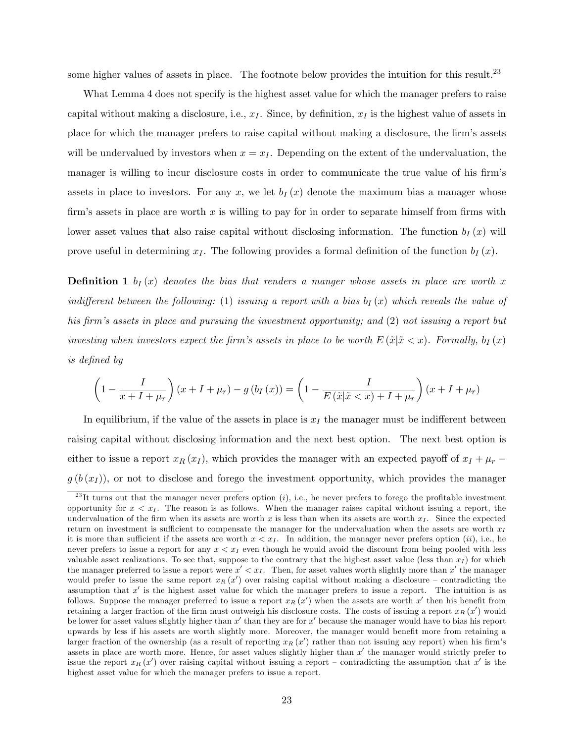some higher values of assets in place. The footnote below provides the intuition for this result.<sup>23</sup>

What Lemma 4 does not specify is the highest asset value for which the manager prefers to raise capital without making a disclosure, i.e.,  $x_I$ . Since, by definition,  $x_I$  is the highest value of assets in place for which the manager prefers to raise capital without making a disclosure, the firm's assets will be undervalued by investors when  $x = x<sub>I</sub>$ . Depending on the extent of the undervaluation, the manager is willing to incur disclosure costs in order to communicate the true value of his firm's assets in place to investors. For any x, we let  $b_I(x)$  denote the maximum bias a manager whose firm's assets in place are worth x is willing to pay for in order to separate himself from firms with lower asset values that also raise capital without disclosing information. The function  $b_I(x)$  will prove useful in determining  $x_I$ . The following provides a formal definition of the function  $b_I(x)$ .

**Definition 1**  $b_I(x)$  denotes the bias that renders a manger whose assets in place are worth x indifferent between the following: (1) issuing a report with a bias  $b_I(x)$  which reveals the value of his firm's assets in place and pursuing the investment opportunity; and (2) not issuing a report but investing when investors expect the firm's assets in place to be worth  $E(\tilde{x}|\tilde{x} < x)$ . Formally,  $b_I(x)$ is defined by

$$
\left(1 - \frac{I}{x + I + \mu_r}\right)(x + I + \mu_r) - g\left(b_I\left(x\right)\right) = \left(1 - \frac{I}{E\left(\tilde{x}|\tilde{x} < x\right) + I + \mu_r}\right)(x + I + \mu_r)
$$

In equilibrium, if the value of the assets in place is  $x_I$  the manager must be indifferent between raising capital without disclosing information and the next best option. The next best option is either to issue a report  $x_R(x_I)$ , which provides the manager with an expected payoff of  $x_I + \mu_r$  $g(b(x_1))$ , or not to disclose and forego the investment opportunity, which provides the manager

<sup>&</sup>lt;sup>23</sup>It turns out that the manager never prefers option  $(i)$ , i.e., he never prefers to forego the profitable investment opportunity for  $x < x_I$ . The reason is as follows. When the manager raises capital without issuing a report, the undervaluation of the firm when its assets are worth x is less than when its assets are worth  $x<sub>I</sub>$ . Since the expected return on investment is sufficient to compensate the manager for the undervaluation when the assets are worth  $x_I$ it is more than sufficient if the assets are worth  $x < x<sub>I</sub>$ . In addition, the manager never prefers option (ii), i.e., he never prefers to issue a report for any  $x < x<sub>I</sub>$  even though he would avoid the discount from being pooled with less valuable asset realizations. To see that, suppose to the contrary that the highest asset value (less than  $x_I$ ) for which the manager preferred to issue a report were  $x' < x_I$ . Then, for asset values worth slightly more than x' the manager would prefer to issue the same report  $x_R(x')$  over raising capital without making a disclosure – contradicting the assumption that  $x'$  is the highest asset value for which the manager prefers to issue a report. The intuition is as follows. Suppose the manager preferred to issue a report  $x_R(x')$  when the assets are worth  $x'$  then his benefit from retaining a larger fraction of the firm must outweigh his disclosure costs. The costs of issuing a report  $x_R(x')$  would be lower for asset values slightly higher than  $x'$  than they are for  $x'$  because the manager would have to bias his report upwards by less if his assets are worth slightly more. Moreover, the manager would benefit more from retaining a larger fraction of the ownership (as a result of reporting  $x_R(x')$  rather than not issuing any report) when his firm's assets in place are worth more. Hence, for asset values slightly higher than  $x'$  the manager would strictly prefer to issue the report  $x_R(x')$  over raising capital without issuing a report – contradicting the assumption that  $x'$  is the highest asset value for which the manager prefers to issue a report.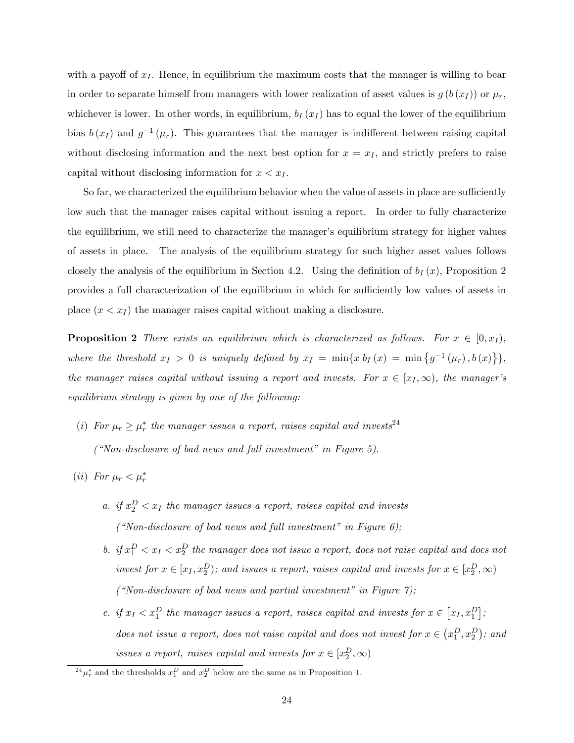with a payoff of  $x_I$ . Hence, in equilibrium the maximum costs that the manager is willing to bear in order to separate himself from managers with lower realization of asset values is  $g(b(x_I))$  or  $\mu_r$ , whichever is lower. In other words, in equilibrium,  $b_I(x_I)$  has to equal the lower of the equilibrium bias  $b(x_I)$  and  $g^{-1}(\mu_r)$ . This guarantees that the manager is indifferent between raising capital without disclosing information and the next best option for  $x = x<sub>I</sub>$ , and strictly prefers to raise capital without disclosing information for  $x < x_I$ .

So far, we characterized the equilibrium behavior when the value of assets in place are sufficiently low such that the manager raises capital without issuing a report. In order to fully characterize the equilibrium, we still need to characterize the manager's equilibrium strategy for higher values of assets in place. The analysis of the equilibrium strategy for such higher asset values follows closely the analysis of the equilibrium in Section 4.2. Using the definition of  $b_I(x)$ , Proposition 2 provides a full characterization of the equilibrium in which for sufficiently low values of assets in place  $(x < x_I)$  the manager raises capital without making a disclosure.

**Proposition 2** There exists an equilibrium which is characterized as follows. For  $x \in [0, x_I)$ , where the threshold  $x_I > 0$  is uniquely defined by  $x_I = \min\{x | b_I(x) = \min\{g^{-1}(\mu_r), b(x)\}\},\$ the manager raises capital without issuing a report and invests. For  $x \in [x_I,\infty)$ , the manager's equilibrium strategy is given by one of the following:

- (i) For  $\mu_r \geq \mu_r^*$  the manager issues a report, raises capital and invests<sup>24</sup>  $i'$ Non-disclosure of bad news and full investment" in Figure 5).
- (*ii*) For  $\mu_r < \mu_r^*$ 
	- a. if  $x_2^D < x_I$  the manager issues a report, raises capital and invests  $i'$ Non-disclosure of bad news and full investment" in Figure 6);
	- b. if  $x_1^D < x_1 < x_2^D$  the manager does not issue a report, does not raise capital and does not invest for  $x \in [x_I, x_I^D)$ ; and issues a report, raises capital and invests for  $x \in [x_I^D, \infty)$ ("Non-disclosure of bad news and partial investment" in Figure  $\gamma$ );
	- c. if  $x_I < x_1^D$  the manager issues a report, raises capital and invests for  $x \in [x_I, x_1^D]$ ; does not issue a report, does not raise capital and does not invest for  $x \in (x_1^D, x_2^D)$ ; and issues a report, raises capital and invests for  $x \in [x_2^D, \infty)$

 $^{24}\mu_r^*$  and the thresholds  $x_1^D$  and  $x_2^D$  below are the same as in Proposition 1.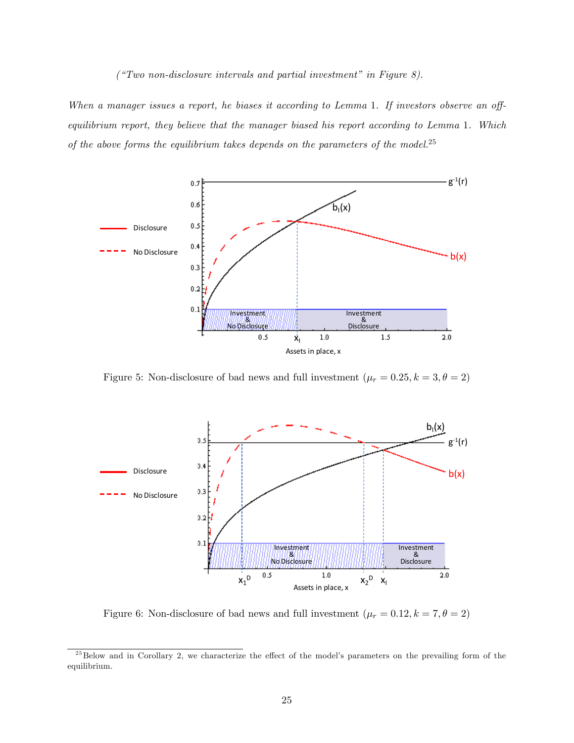### ("Two non-disclosure intervals and partial investment" in Figure 8).

When a manager issues a report, he biases it according to Lemma 1. If investors observe an offequilibrium report, they believe that the manager biased his report according to Lemma 1. Which of the above forms the equilibrium takes depends on the parameters of the model. $^{25}$ 



Figure 5: Non-disclosure of bad news and full investment  $(\mu_r = 0.25, k = 3, \theta = 2)$ 



Figure 6: Non-disclosure of bad news and full investment  $(\mu_r = 0.12, k = 7, \theta = 2)$ 

 $^{25}$ Below and in Corollary 2, we characterize the effect of the model's parameters on the prevailing form of the equilibrium.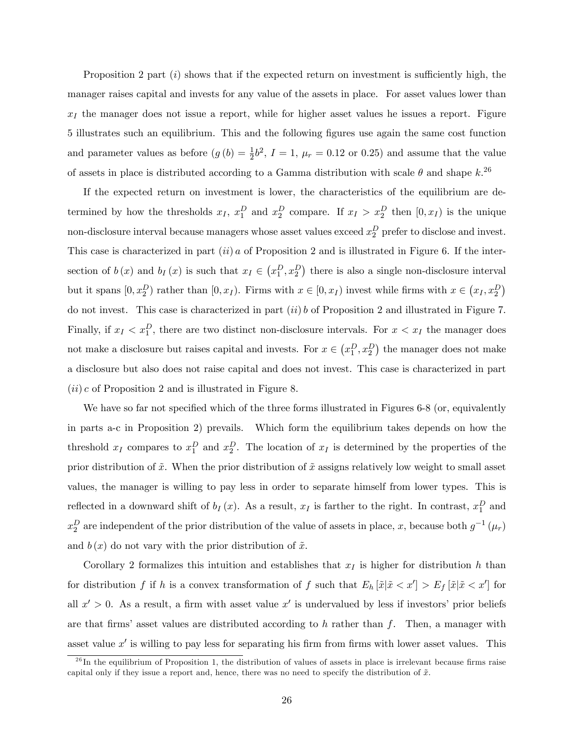Proposition 2 part  $(i)$  shows that if the expected return on investment is sufficiently high, the manager raises capital and invests for any value of the assets in place. For asset values lower than  $x_I$  the manager does not issue a report, while for higher asset values he issues a report. Figure 5 illustrates such an equilibrium. This and the following figures use again the same cost function and parameter values as before  $(g(b) = \frac{1}{2}b^2, I = 1, \mu_r = 0.12$  or 0.25) and assume that the value of assets in place is distributed according to a Gamma distribution with scale  $\theta$  and shape  $k$ .<sup>26</sup>

If the expected return on investment is lower, the characteristics of the equilibrium are determined by how the thresholds  $x_I$ ,  $x_1^D$  and  $x_2^D$  compare. If  $x_I > x_2^D$  then  $[0, x_I)$  is the unique non-disclosure interval because managers whose asset values exceed  $x_2^D$  prefer to disclose and invest. This case is characterized in part  $(ii)$  a of Proposition 2 and is illustrated in Figure 6. If the intersection of  $b(x)$  and  $b<sub>I</sub>(x)$  is such that  $x<sub>I</sub> \in (x<sub>1</sub><sup>D</sup>, x<sub>2</sub><sup>D</sup>)$  there is also a single non-disclosure interval but it spans  $[0, x_2^D)$  rather than  $[0, x_I)$ . Firms with  $x \in [0, x_I)$  invest while firms with  $x \in (x_I, x_2^D)$ do not invest. This case is characterized in part  $(ii) b$  of Proposition 2 and illustrated in Figure 7. Finally, if  $x_I < x_I^D$ , there are two distinct non-disclosure intervals. For  $x < x_I$  the manager does not make a disclosure but raises capital and invests. For  $x \in (x_1^D, x_2^D)$  the manager does not make a disclosure but also does not raise capital and does not invest. This case is characterized in part  $(ii)$  c of Proposition 2 and is illustrated in Figure 8.

We have so far not specified which of the three forms illustrated in Figures 6-8 (or, equivalently in parts a-c in Proposition 2) prevails. Which form the equilibrium takes depends on how the threshold  $x_I$  compares to  $x_I^D$  and  $x_2^D$ . The location of  $x_I$  is determined by the properties of the prior distribution of  $\tilde{x}$ . When the prior distribution of  $\tilde{x}$  assigns relatively low weight to small asset values, the manager is willing to pay less in order to separate himself from lower types. This is reflected in a downward shift of  $b_I(x)$ . As a result,  $x_I$  is farther to the right. In contrast,  $x_I^D$  and  $x_2^D$  are independent of the prior distribution of the value of assets in place, x, because both  $g^{-1}(\mu_r)$ and  $b(x)$  do not vary with the prior distribution of  $\tilde{x}$ .

Corollary 2 formalizes this intuition and establishes that  $x<sub>I</sub>$  is higher for distribution h than for distribution f if h is a convex transformation of f such that  $E_h[\tilde{x}|\tilde{x} < x'] > E_f[\tilde{x}|\tilde{x} < x']$  for all  $x' > 0$ . As a result, a firm with asset value  $x'$  is undervalued by less if investors' prior beliefs are that firms' asset values are distributed according to h rather than f. Then, a manager with asset value  $x'$  is willing to pay less for separating his firm from firms with lower asset values. This

 $^{26}$ In the equilibrium of Proposition 1, the distribution of values of assets in place is irrelevant because firms raise capital only if they issue a report and, hence, there was no need to specify the distribution of  $\tilde{x}$ .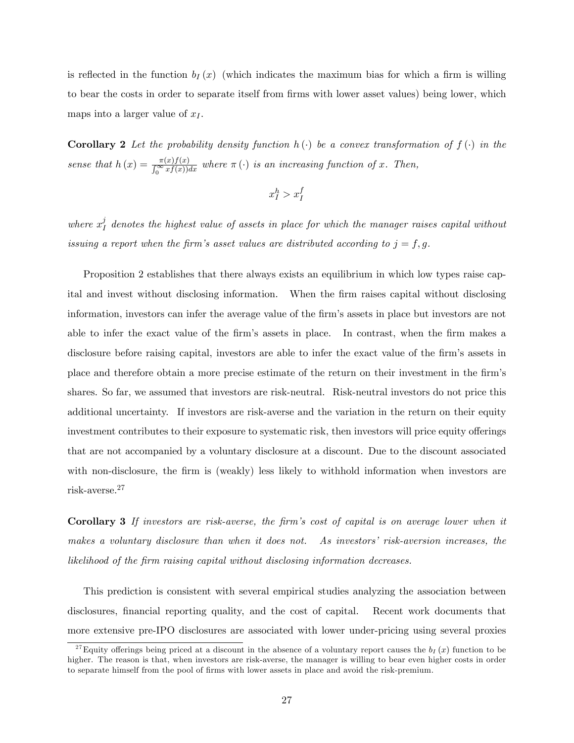is reflected in the function  $b_I(x)$  (which indicates the maximum bias for which a firm is willing to bear the costs in order to separate itself from firms with lower asset values) being lower, which maps into a larger value of  $x_I$ .

**Corollary 2** Let the probability density function  $h(\cdot)$  be a convex transformation of  $f(\cdot)$  in the sense that  $h(x) = \frac{\pi(x)f(x)}{\int_0^\infty x f(x)dx}$  where  $\pi(\cdot)$  is an increasing function of x. Then,

$$
x_I^h > x_I^f
$$

where  $x_I^j$  $I_I^j$  denotes the highest value of assets in place for which the manager raises capital without issuing a report when the firm's asset values are distributed according to  $j = f, g$ .

Proposition 2 establishes that there always exists an equilibrium in which low types raise capital and invest without disclosing information. When the firm raises capital without disclosing information, investors can infer the average value of the firm's assets in place but investors are not able to infer the exact value of the firm's assets in place. In contrast, when the firm makes a disclosure before raising capital, investors are able to infer the exact value of the firm's assets in place and therefore obtain a more precise estimate of the return on their investment in the firm's shares. So far, we assumed that investors are risk-neutral. Risk-neutral investors do not price this additional uncertainty. If investors are risk-averse and the variation in the return on their equity investment contributes to their exposure to systematic risk, then investors will price equity offerings that are not accompanied by a voluntary disclosure at a discount. Due to the discount associated with non-disclosure, the firm is (weakly) less likely to withhold information when investors are risk-averse.<sup>27</sup>

Corollary 3 If investors are risk-averse, the firm's cost of capital is on average lower when it makes a voluntary disclosure than when it does not. As investors' risk-aversion increases, the likelihood of the firm raising capital without disclosing information decreases.

This prediction is consistent with several empirical studies analyzing the association between disclosures, financial reporting quality, and the cost of capital. Recent work documents that more extensive pre-IPO disclosures are associated with lower under-pricing using several proxies

<sup>&</sup>lt;sup>27</sup>Equity offerings being priced at a discount in the absence of a voluntary report causes the  $b_I(x)$  function to be higher. The reason is that, when investors are risk-averse, the manager is willing to bear even higher costs in order to separate himself from the pool of firms with lower assets in place and avoid the risk-premium.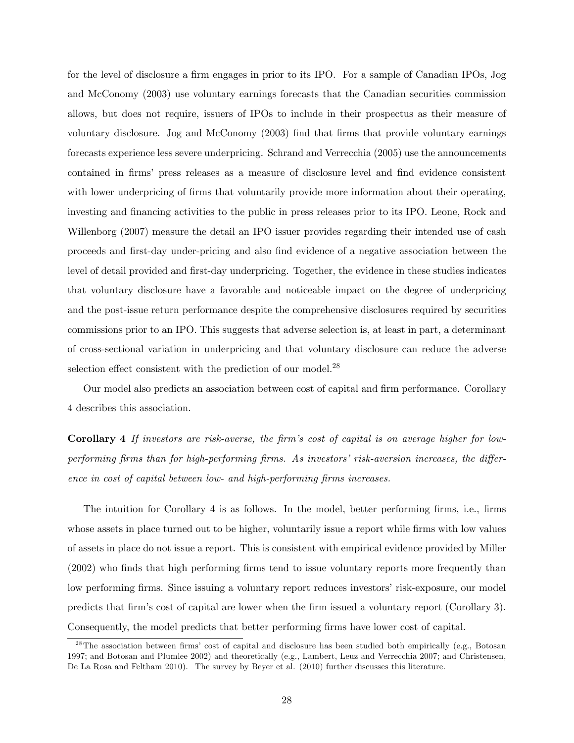for the level of disclosure a firm engages in prior to its IPO. For a sample of Canadian IPOs, Jog and McConomy (2003) use voluntary earnings forecasts that the Canadian securities commission allows, but does not require, issuers of IPOs to include in their prospectus as their measure of voluntary disclosure. Jog and McConomy (2003) Önd that Örms that provide voluntary earnings forecasts experience less severe underpricing. Schrand and Verrecchia (2005) use the announcements contained in firms' press releases as a measure of disclosure level and find evidence consistent with lower underpricing of firms that voluntarily provide more information about their operating, investing and financing activities to the public in press releases prior to its IPO. Leone, Rock and Willenborg (2007) measure the detail an IPO issuer provides regarding their intended use of cash proceeds and Örst-day under-pricing and also Önd evidence of a negative association between the level of detail provided and first-day underpricing. Together, the evidence in these studies indicates that voluntary disclosure have a favorable and noticeable impact on the degree of underpricing and the post-issue return performance despite the comprehensive disclosures required by securities commissions prior to an IPO. This suggests that adverse selection is, at least in part, a determinant of cross-sectional variation in underpricing and that voluntary disclosure can reduce the adverse selection effect consistent with the prediction of our model.<sup>28</sup>

Our model also predicts an association between cost of capital and Örm performance. Corollary 4 describes this association.

Corollary 4 If investors are risk-averse, the firm's cost of capital is on average higher for lowperforming firms than for high-performing firms. As investors' risk-aversion increases, the difference in cost of capital between low- and high-performing firms increases.

The intuition for Corollary 4 is as follows. In the model, better performing firms, i.e., firms whose assets in place turned out to be higher, voluntarily issue a report while firms with low values of assets in place do not issue a report. This is consistent with empirical evidence provided by Miller (2002) who finds that high performing firms tend to issue voluntary reports more frequently than low performing firms. Since issuing a voluntary report reduces investors' risk-exposure, our model predicts that Örmís cost of capital are lower when the Örm issued a voluntary report (Corollary 3). Consequently, the model predicts that better performing firms have lower cost of capital.

<sup>&</sup>lt;sup>28</sup>The association between firms' cost of capital and disclosure has been studied both empirically (e.g., Botosan 1997; and Botosan and Plumlee 2002) and theoretically (e.g., Lambert, Leuz and Verrecchia 2007; and Christensen, De La Rosa and Feltham 2010). The survey by Beyer et al. (2010) further discusses this literature.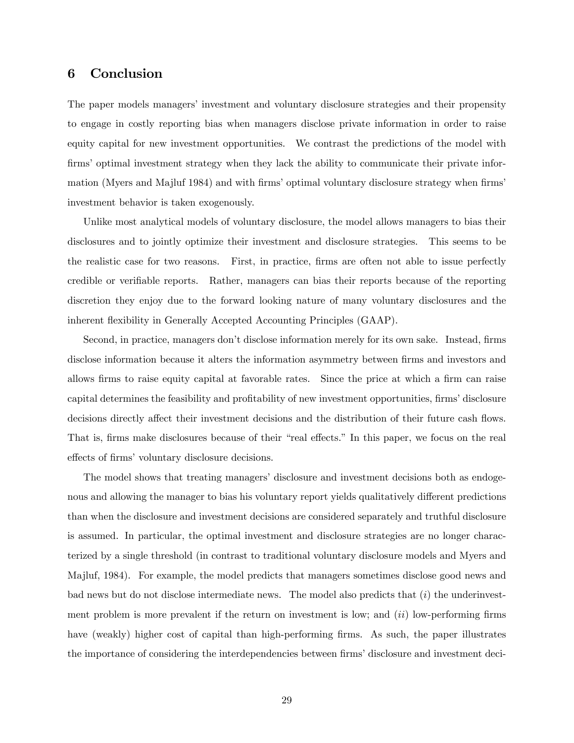## 6 Conclusion

The paper models managers' investment and voluntary disclosure strategies and their propensity to engage in costly reporting bias when managers disclose private information in order to raise equity capital for new investment opportunities. We contrast the predictions of the model with firms' optimal investment strategy when they lack the ability to communicate their private information (Myers and Majluf 1984) and with firms' optimal voluntary disclosure strategy when firms investment behavior is taken exogenously.

Unlike most analytical models of voluntary disclosure, the model allows managers to bias their disclosures and to jointly optimize their investment and disclosure strategies. This seems to be the realistic case for two reasons. First, in practice, firms are often not able to issue perfectly credible or verifiable reports. Rather, managers can bias their reports because of the reporting discretion they enjoy due to the forward looking nature of many voluntary disclosures and the inherent flexibility in Generally Accepted Accounting Principles (GAAP).

Second, in practice, managers don't disclose information merely for its own sake. Instead, firms disclose information because it alters the information asymmetry between firms and investors and allows firms to raise equity capital at favorable rates. Since the price at which a firm can raise capital determines the feasibility and profitability of new investment opportunities, firms' disclosure decisions directly affect their investment decisions and the distribution of their future cash flows. That is, firms make disclosures because of their "real effects." In this paper, we focus on the real effects of firms' voluntary disclosure decisions.

The model shows that treating managers' disclosure and investment decisions both as endogenous and allowing the manager to bias his voluntary report yields qualitatively different predictions than when the disclosure and investment decisions are considered separately and truthful disclosure is assumed. In particular, the optimal investment and disclosure strategies are no longer characterized by a single threshold (in contrast to traditional voluntary disclosure models and Myers and Majluf, 1984). For example, the model predicts that managers sometimes disclose good news and bad news but do not disclose intermediate news. The model also predicts that  $(i)$  the underinvestment problem is more prevalent if the return on investment is low; and  $(ii)$  low-performing firms have (weakly) higher cost of capital than high-performing firms. As such, the paper illustrates the importance of considering the interdependencies between firms' disclosure and investment deci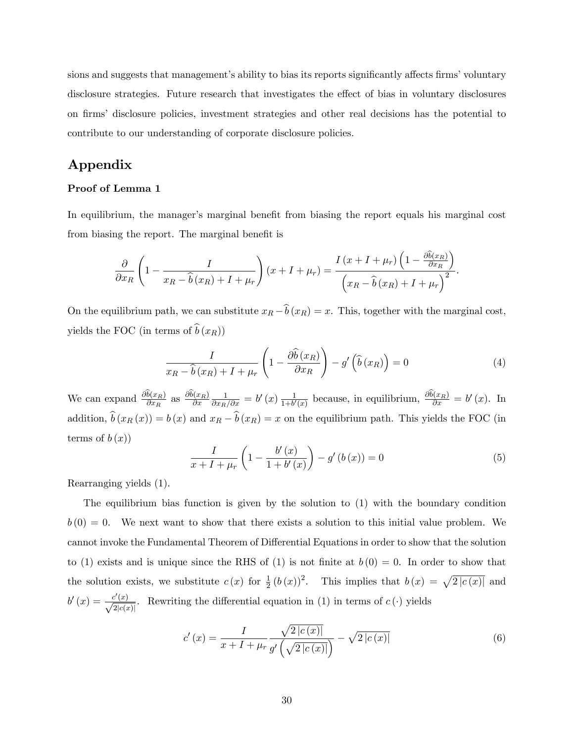sions and suggests that management's ability to bias its reports significantly affects firms' voluntary disclosure strategies. Future research that investigates the effect of bias in voluntary disclosures on firms' disclosure policies, investment strategies and other real decisions has the potential to contribute to our understanding of corporate disclosure policies.

# Appendix

### Proof of Lemma 1

In equilibrium, the manager's marginal benefit from biasing the report equals his marginal cost from biasing the report. The marginal benefit is

$$
\frac{\partial}{\partial x_R} \left( 1 - \frac{I}{x_R - \hat{b}(x_R) + I + \mu_r} \right) (x + I + \mu_r) = \frac{I(x + I + \mu_r) \left( 1 - \frac{\partial \hat{b}(x_R)}{\partial x_R} \right)}{\left( x_R - \hat{b}(x_R) + I + \mu_r \right)^2}.
$$

On the equilibrium path, we can substitute  $x_R - \hat{b}(x_R) = x$ . This, together with the marginal cost, yields the FOC (in terms of  $\widehat{b}(x_R)$ )

$$
\frac{I}{x_R - \hat{b}(x_R) + I + \mu_r} \left( 1 - \frac{\partial \hat{b}(x_R)}{\partial x_R} \right) - g' \left( \hat{b}(x_R) \right) = 0 \tag{4}
$$

We can expand  $\frac{\partial b(x_R)}{\partial x_R}$  as  $\frac{\partial b(x_R)}{\partial x}$  $\frac{1}{\partial x_R/\partial x} = b'(x) \frac{1}{1+b'}$  $\frac{1}{1+b'(x)}$  because, in equilibrium,  $\frac{\partial b(x_R)}{\partial x} = b'(x)$ . In addition,  $\hat{b}(x_R (x)) = b(x)$  and  $x_R - \hat{b}(x_R) = x$  on the equilibrium path. This yields the FOC (in terms of  $b(x)$ 

$$
\frac{I}{x+I+\mu_r} \left(1 - \frac{b'(x)}{1+b'(x)}\right) - g'(b(x)) = 0
$$
\n(5)

Rearranging yields (1).

The equilibrium bias function is given by the solution to (1) with the boundary condition  $b(0) = 0$ . We next want to show that there exists a solution to this initial value problem. We cannot invoke the Fundamental Theorem of Differential Equations in order to show that the solution to (1) exists and is unique since the RHS of (1) is not finite at  $b(0) = 0$ . In order to show that the solution exists, we substitute  $c(x)$  for  $\frac{1}{2}(b(x))^2$ . This implies that  $b(x) = \sqrt{2|c(x)|}$  and  $b'(x) = \frac{c'(x)}{\sqrt{2|c(x)}}$  $\frac{\partial^2 (x)}{\partial |c(x)|}$ . Rewriting the differential equation in (1) in terms of  $c(\cdot)$  yields

$$
c'(x) = \frac{I}{x + I + \mu_r} \frac{\sqrt{2|c(x)|}}{g'\left(\sqrt{2|c(x)|}\right)} - \sqrt{2|c(x)|} \tag{6}
$$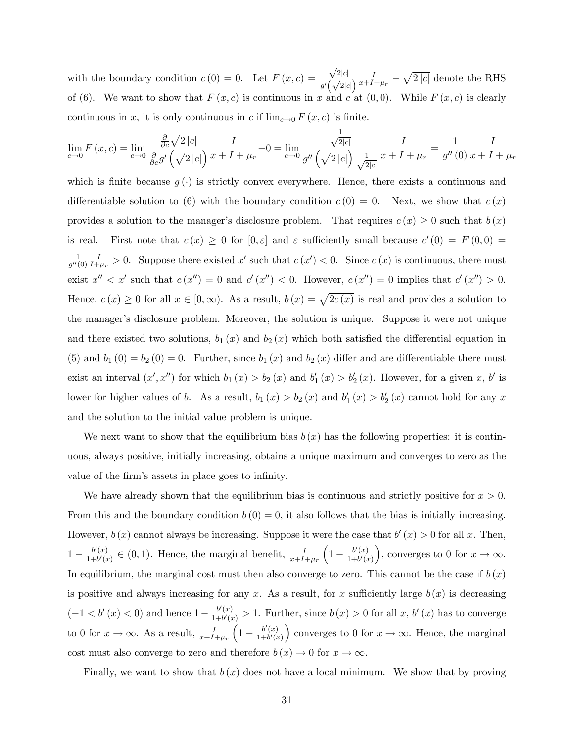with the boundary condition  $c(0) = 0$ . Let  $F(x, c) =$  $\sqrt{2|c|}$  $rac{\sqrt{2|c|}}{g'\left(\sqrt{2|c|}\right)} \frac{I}{x+I}$  $\frac{I}{x+I+\mu_r} - \sqrt{2\left|c\right|}$  denote the RHS of (6). We want to show that  $F(x, c)$  is continuous in x and c at  $(0, 0)$ . While  $F(x, c)$  is clearly continuous in x, it is only continuous in c if  $\lim_{c\to 0} F(x, c)$  is finite.

$$
\lim_{c \to 0} F(x, c) = \lim_{c \to 0} \frac{\frac{\partial}{\partial c} \sqrt{2 |c|}}{\frac{\partial}{\partial c} g' \left(\sqrt{2 |c|}\right)} \frac{I}{x + I + \mu_r} - 0 = \lim_{c \to 0} \frac{\frac{1}{\sqrt{2 |c|}}}{g'' \left(\sqrt{2 |c|}\right) \frac{1}{\sqrt{2 |c|}} x + I + \mu_r} = \frac{1}{g''(0)} \frac{I}{x + I + \mu_r}
$$

which is finite because  $g(\cdot)$  is strictly convex everywhere. Hence, there exists a continuous and differentiable solution to (6) with the boundary condition  $c(0) = 0$ . Next, we show that  $c(x)$ provides a solution to the manager's disclosure problem. That requires  $c(x) \geq 0$  such that  $b(x)$ is real. First note that  $c(x) \geq 0$  for  $[0, \varepsilon]$  and  $\varepsilon$  sufficiently small because  $c'(0) = F(0, 0) =$ 1  $g''(0)$ I  $\frac{1}{1+\mu_r} > 0$ . Suppose there existed x' such that  $c(x') < 0$ . Since  $c(x)$  is continuous, there must exist  $x'' < x'$  such that  $c(x'') = 0$  and  $c'(x'') < 0$ . However,  $c(x'') = 0$  implies that  $c'(x'') > 0$ . Hence,  $c(x) \geq 0$  for all  $x \in [0,\infty)$ . As a result,  $b(x) = \sqrt{2c(x)}$  is real and provides a solution to the manager's disclosure problem. Moreover, the solution is unique. Suppose it were not unique and there existed two solutions,  $b_1(x)$  and  $b_2(x)$  which both satisfied the differential equation in (5) and  $b_1$  (0) =  $b_2$  (0) = 0. Further, since  $b_1(x)$  and  $b_2(x)$  differ and are differentiable there must exist an interval  $(x', x'')$  for which  $b_1(x) > b_2(x)$  and  $b'_1(x) > b'_2(x)$ . However, for a given x, b' is lower for higher values of b. As a result,  $b_1(x) > b_2(x)$  and  $b'_1(x) > b'_2(x)$  cannot hold for any x and the solution to the initial value problem is unique.

We next want to show that the equilibrium bias  $b(x)$  has the following properties: it is continuous, always positive, initially increasing, obtains a unique maximum and converges to zero as the value of the firm's assets in place goes to infinity.

We have already shown that the equilibrium bias is continuous and strictly positive for  $x > 0$ . From this and the boundary condition  $b(0) = 0$ , it also follows that the bias is initially increasing. However,  $b(x)$  cannot always be increasing. Suppose it were the case that  $b'(x) > 0$  for all x. Then,  $1 - \frac{b'(x)}{1+b'(x)}$  $\frac{b'(x)}{1+b'(x)} \in (0,1)$ . Hence, the marginal benefit,  $\frac{1}{x+I+\mu_r}$  $\left(1 - \frac{b'(x)}{1+b'(x)}\right)$  $1+b'(x)$ ), converges to 0 for  $x \to \infty$ . In equilibrium, the marginal cost must then also converge to zero. This cannot be the case if  $b(x)$ is positive and always increasing for any x. As a result, for x sufficiently large  $b(x)$  is decreasing  $(-1 < b'(x) < 0)$  and hence  $1 - \frac{b'(x)}{1 + b'(x)}$  $\frac{b'(x)}{1+b'(x)} > 1$ . Further, since  $b(x) > 0$  for all x,  $b'(x)$  has to converge to 0 for  $x \to \infty$ . As a result,  $\frac{1}{x+I+\mu_r}$  $\left(1 - \frac{b'(x)}{1 + b'(x)}\right)$  $1+b'(x)$ converges to 0 for  $x \to \infty$ . Hence, the marginal cost must also converge to zero and therefore  $b(x) \to 0$  for  $x \to \infty$ .

Finally, we want to show that  $b(x)$  does not have a local minimum. We show that by proving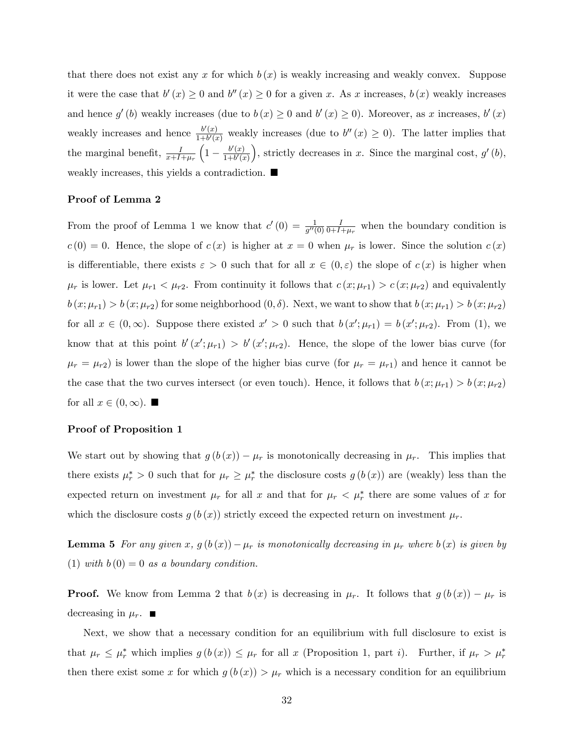that there does not exist any x for which  $b(x)$  is weakly increasing and weakly convex. Suppose it were the case that  $b'(x) \geq 0$  and  $b''(x) \geq 0$  for a given x. As x increases,  $b(x)$  weakly increases and hence  $g'(b)$  weakly increases (due to  $b(x) \ge 0$  and  $b'(x) \ge 0$ ). Moreover, as x increases,  $b'(x)$ weakly increases and hence  $\frac{b'(x)}{1+b'(x)}$  $\frac{0(x)}{1+b'(x)}$  weakly increases (due to  $b''(x) \geq 0$ ). The latter implies that the marginal benefit,  $\frac{I}{x+I+\mu_r}$  $\left(1 - \frac{b'(x)}{1+b'(x)}\right)$  $1+b'(x)$ ), strictly decreases in x. Since the marginal cost,  $g'(b)$ , weakly increases, this yields a contradiction.

### Proof of Lemma 2

From the proof of Lemma 1 we know that  $c'(0) = \frac{1}{g''(0)}$ I  $\frac{1}{0+I+\mu_r}$  when the boundary condition is  $c(0) = 0$ . Hence, the slope of  $c(x)$  is higher at  $x = 0$  when  $\mu_r$  is lower. Since the solution  $c(x)$ is differentiable, there exists  $\varepsilon > 0$  such that for all  $x \in (0,\varepsilon)$  the slope of  $c(x)$  is higher when  $\mu_r$  is lower. Let  $\mu_{r1} < \mu_{r2}$ . From continuity it follows that  $c(x; \mu_{r1}) > c(x; \mu_{r2})$  and equivalently  $b(x; \mu_{r1}) > b(x; \mu_{r2})$  for some neighborhood  $(0, \delta)$ . Next, we want to show that  $b(x; \mu_{r1}) > b(x; \mu_{r2})$ for all  $x \in (0,\infty)$ . Suppose there existed  $x' > 0$  such that  $b(x'; \mu_{r1}) = b(x'; \mu_{r2})$ . From (1), we know that at this point  $b'(x';\mu_{r1}) > b'(x';\mu_{r2})$ . Hence, the slope of the lower bias curve (for  $\mu_r = \mu_{r2}$ ) is lower than the slope of the higher bias curve (for  $\mu_r = \mu_{r1}$ ) and hence it cannot be the case that the two curves intersect (or even touch). Hence, it follows that  $b(x; \mu_{r1}) > b(x; \mu_{r2})$ for all  $x \in (0,\infty)$ .

### Proof of Proposition 1

We start out by showing that  $g(b(x)) - \mu_r$  is monotonically decreasing in  $\mu_r$ . This implies that there exists  $\mu_r^* > 0$  such that for  $\mu_r \ge \mu_r^*$  the disclosure costs  $g(b(x))$  are (weakly) less than the expected return on investment  $\mu_r$  for all x and that for  $\mu_r < \mu_r^*$  there are some values of x for which the disclosure costs  $g(b(x))$  strictly exceed the expected return on investment  $\mu_r$ .

**Lemma 5** For any given x,  $g(b(x)) - \mu_r$  is monotonically decreasing in  $\mu_r$  where  $b(x)$  is given by (1) with  $b(0) = 0$  as a boundary condition.

**Proof.** We know from Lemma 2 that  $b(x)$  is decreasing in  $\mu_r$ . It follows that  $g(b(x)) - \mu_r$  is decreasing in  $\mu_r$ .

Next, we show that a necessary condition for an equilibrium with full disclosure to exist is that  $\mu_r \leq \mu_r^*$  which implies  $g(b(x)) \leq \mu_r$  for all x (Proposition 1, part i). Further, if  $\mu_r > \mu_r^*$ then there exist some x for which  $g(b(x)) > \mu_r$  which is a necessary condition for an equilibrium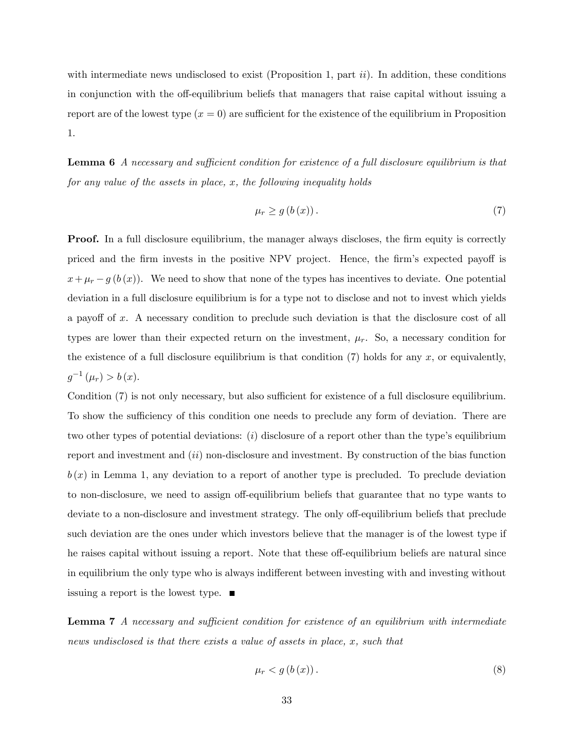with intermediate news undisclosed to exist (Proposition 1, part  $ii$ ). In addition, these conditions in conjunction with the off-equilibrium beliefs that managers that raise capital without issuing a report are of the lowest type  $(x = 0)$  are sufficient for the existence of the equilibrium in Proposition 1.

**Lemma 6** A necessary and sufficient condition for existence of a full disclosure equilibrium is that for any value of the assets in place,  $x$ , the following inequality holds

$$
\mu_r \ge g\left(b\left(x\right)\right). \tag{7}
$$

**Proof.** In a full disclosure equilibrium, the manager always discloses, the firm equity is correctly priced and the firm invests in the positive NPV project. Hence, the firm's expected payoff is  $x+\mu_r-g(b(x))$ . We need to show that none of the types has incentives to deviate. One potential deviation in a full disclosure equilibrium is for a type not to disclose and not to invest which yields a payoff of x. A necessary condition to preclude such deviation is that the disclosure cost of all types are lower than their expected return on the investment,  $\mu_r$ . So, a necessary condition for the existence of a full disclosure equilibrium is that condition  $(7)$  holds for any x, or equivalently,  $g^{-1}(\mu_r) > b(x).$ 

Condition (7) is not only necessary, but also sufficient for existence of a full disclosure equilibrium. To show the sufficiency of this condition one needs to preclude any form of deviation. There are two other types of potential deviations: (i) disclosure of a report other than the type's equilibrium report and investment and  $(ii)$  non-disclosure and investment. By construction of the bias function  $b(x)$  in Lemma 1, any deviation to a report of another type is precluded. To preclude deviation to non-disclosure, we need to assign off-equilibrium beliefs that guarantee that no type wants to deviate to a non-disclosure and investment strategy. The only off-equilibrium beliefs that preclude such deviation are the ones under which investors believe that the manager is of the lowest type if he raises capital without issuing a report. Note that these off-equilibrium beliefs are natural since in equilibrium the only type who is always indifferent between investing with and investing without issuing a report is the lowest type.

**Lemma 7** A necessary and sufficient condition for existence of an equilibrium with intermediate news undisclosed is that there exists a value of assets in place, x, such that

$$
\mu_r < g\left(b\left(x\right)\right). \tag{8}
$$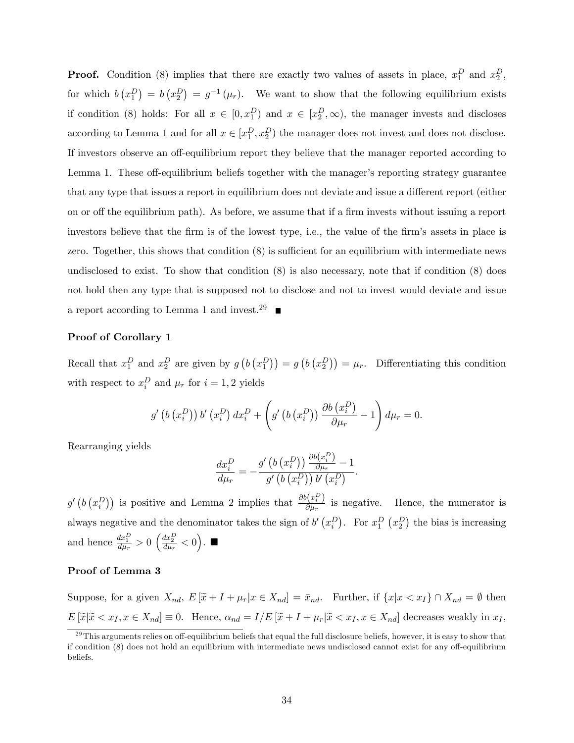**Proof.** Condition (8) implies that there are exactly two values of assets in place,  $x_1^D$  and  $x_2^D$ , for which  $b(x_1^D) = b(x_2^D) = g^{-1}(\mu_r)$ . We want to show that the following equilibrium exists if condition (8) holds: For all  $x \in [0, x_1^D)$  and  $x \in [x_2^D, \infty)$ , the manager invests and discloses according to Lemma 1 and for all  $x \in [x_1^D, x_2^D)$  the manager does not invest and does not disclose. If investors observe an off-equilibrium report they believe that the manager reported according to Lemma 1. These off-equilibrium beliefs together with the manager's reporting strategy guarantee that any type that issues a report in equilibrium does not deviate and issue a different report (either on or off the equilibrium path). As before, we assume that if a firm invests without issuing a report investors believe that the firm is of the lowest type, i.e., the value of the firm's assets in place is zero. Together, this shows that condition  $(8)$  is sufficient for an equilibrium with intermediate news undisclosed to exist. To show that condition  $(8)$  is also necessary, note that if condition  $(8)$  does not hold then any type that is supposed not to disclose and not to invest would deviate and issue a report according to Lemma 1 and invest.<sup>29</sup>

### Proof of Corollary 1

Recall that  $x_1^D$  and  $x_2^D$  are given by  $g\left(b\left(x_1^D\right)\right) = g\left(b\left(x_2^D\right)\right) = \mu_r$ . Differentiating this condition with respect to  $x_i^D$  and  $\mu_r$  for  $i = 1, 2$  yields

$$
g'\left(b\left(x_i^D\right)\right)b'\left(x_i^D\right)dx_i^D + \left(g'\left(b\left(x_i^D\right)\right)\frac{\partial b\left(x_i^D\right)}{\partial \mu_r} - 1\right)d\mu_r = 0.
$$

Rearranging yields

$$
\frac{dx_i^D}{d\mu_r} = -\frac{g'\left(b\left(x_i^D\right)\right)\frac{\partial b(x_i^D)}{\partial \mu_r} - 1}{g'\left(b\left(x_i^D\right)\right)b'\left(x_i^D\right)}.
$$

 $g'\left(b\left(x_i^D\right)\right)$  is positive and Lemma 2 implies that  $\frac{\partial b(x_i^D)}{\partial \mu_r}$  $\frac{\partial (x_i)}{\partial \mu_r}$  is negative. Hence, the numerator is always negative and the denominator takes the sign of  $b'(x_i^D)$ . For  $x_1^D(x_2^D)$  the bias is increasing and hence  $\frac{dx_1^D}{d\mu_r} > 0 \left(\frac{dx_2^D}{d\mu_r} < 0\right)$ .

### Proof of Lemma 3

Suppose, for a given  $X_{nd}$ ,  $E[\tilde{x} + I + \mu_r | x \in X_{nd}] = \bar{x}_{nd}$ . Further, if  $\{x | x < x_I\} \cap X_{nd} = \emptyset$  then  $E[\tilde{x}|\tilde{x} \lt x_I, x \in X_{nd}] \equiv 0$ . Hence,  $\alpha_{nd} = I/E[\tilde{x}+I+\mu_r|\tilde{x} \lt x_I, x \in X_{nd}]$  decreases weakly in  $x_I$ ,

 $29$ This arguments relies on off-equilibrium beliefs that equal the full disclosure beliefs, however, it is easy to show that if condition  $(8)$  does not hold an equilibrium with intermediate news undisclosed cannot exist for any off-equilibrium beliefs.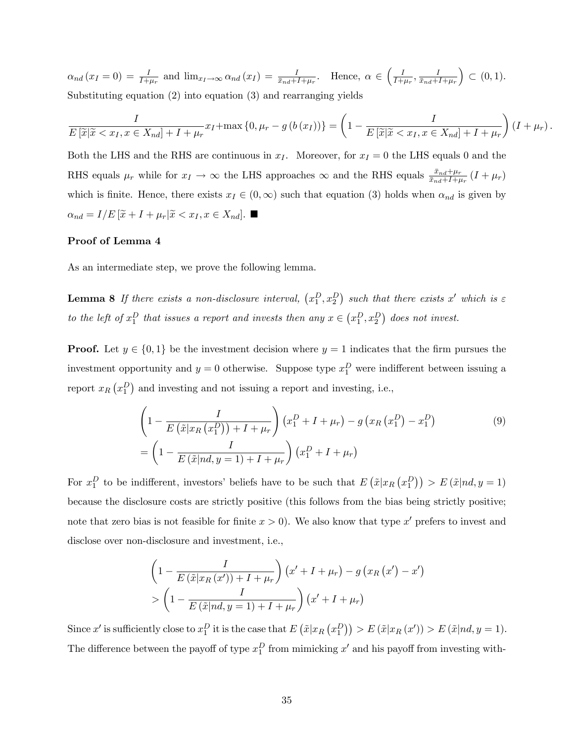$\alpha_{nd}(x_I=0) = \frac{I}{I+\mu_r}$  and  $\lim_{x_I \to \infty} \alpha_{nd}(x_I) = \frac{I}{\bar{x}_{nd}+I+\mu_r}$ . Hence,  $\alpha \in \left(\frac{I}{I+\mu_r}\right)$  $\frac{I}{I+\mu_r}, \frac{I}{\bar{x}_{nd}+I}$  $\bar{x}_{nd}+I+\mu_r$  $(0, 1).$ Substituting equation (2) into equation (3) and rearranging yields

$$
\frac{I}{E\left[\tilde{x}|\tilde{x} < x_I, x \in X_{nd}\right] + I + \mu_r} x_I + \max\left\{0, \mu_r - g\left(b\left(x_I\right)\right)\right\} = \left(1 - \frac{I}{E\left[\tilde{x}|\tilde{x} < x_I, x \in X_{nd}\right] + I + \mu_r}\right) \left(I + \mu_r\right).
$$

Both the LHS and the RHS are continuous in  $x_I$ . Moreover, for  $x_I = 0$  the LHS equals 0 and the RHS equals  $\mu_r$  while for  $x_I \to \infty$  the LHS approaches  $\infty$  and the RHS equals  $\frac{\bar{x}_{nd} + \mu_r}{\bar{x}_{nd} + I + \mu_r} (I + \mu_r)$ which is finite. Hence, there exists  $x_I \in (0,\infty)$  such that equation (3) holds when  $\alpha_{nd}$  is given by  $\alpha_{nd} = I/E \left[ \tilde{x} + I + \mu_r \vert \tilde{x} < x_I, x \in X_{nd} \right]$ .

### Proof of Lemma 4

As an intermediate step, we prove the following lemma.

**Lemma 8** If there exists a non-disclosure interval,  $(x_1^D, x_2^D)$  such that there exists x' which is  $\varepsilon$ to the left of  $x_1^D$  that issues a report and invests then any  $x \in (x_1^D, x_2^D)$  does not invest.

**Proof.** Let  $y \in \{0, 1\}$  be the investment decision where  $y = 1$  indicates that the firm pursues the investment opportunity and  $y = 0$  otherwise. Suppose type  $x_1^D$  were indifferent between issuing a report  $x_R(x_1^D)$  and investing and not issuing a report and investing, i.e.,

$$
\left(1 - \frac{I}{E\left(\tilde{x}|x_R\left(x_1^D\right)\right) + I + \mu_r}\right)\left(x_1^D + I + \mu_r\right) - g\left(x_R\left(x_1^D\right) - x_1^D\right)
$$
\n
$$
= \left(1 - \frac{I}{E\left(\tilde{x}|nd, y=1\right) + I + \mu_r}\right)\left(x_1^D + I + \mu_r\right)
$$
\n(9)

For  $x_1^D$  to be indifferent, investors' beliefs have to be such that  $E(\tilde{x}|x_R(x_1^D)) > E(\tilde{x}|nd, y = 1)$ because the disclosure costs are strictly positive (this follows from the bias being strictly positive; note that zero bias is not feasible for finite  $x > 0$ ). We also know that type  $x'$  prefers to invest and disclose over non-disclosure and investment, i.e.,

$$
\left(1 - \frac{I}{E\left(\tilde{x}|x_R\left(x'\right)\right) + I + \mu_r}\right)\left(x' + I + \mu_r\right) - g\left(x_R\left(x'\right) - x'\right)
$$
\n
$$
> \left(1 - \frac{I}{E\left(\tilde{x}|nd, y=1\right) + I + \mu_r}\right)\left(x' + I + \mu_r\right)
$$

Since x' is sufficiently close to  $x_1^D$  it is the case that  $E(\tilde{x}|x_R(x_1^D)) > E(\tilde{x}|x_R(x')) > E(\tilde{x}|nd, y = 1)$ . The difference between the payoff of type  $x_1^D$  from mimicking  $x'$  and his payoff from investing with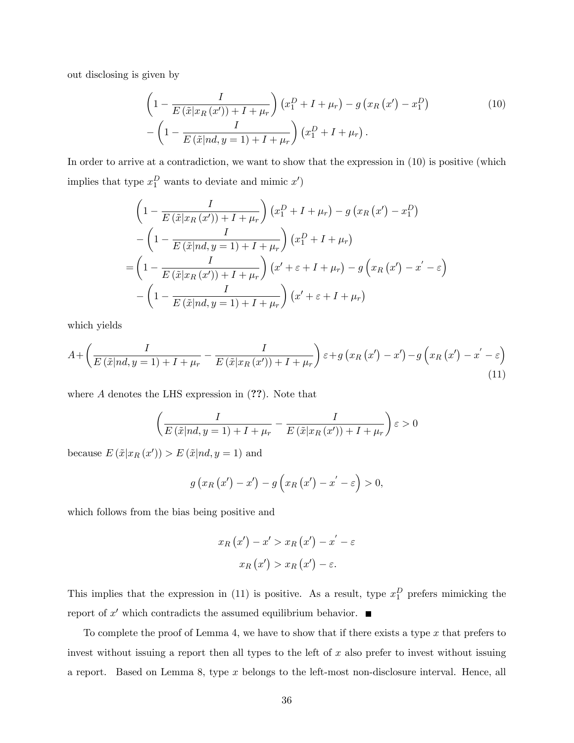out disclosing is given by

$$
\left(1 - \frac{I}{E\left(\tilde{x}|x_R\left(x'\right)\right) + I + \mu_r}\right)\left(x_1^D + I + \mu_r\right) - g\left(x_R\left(x'\right) - x_1^D\right) - \left(1 - \frac{I}{E\left(\tilde{x}|nd, y=1\right) + I + \mu_r}\right)\left(x_1^D + I + \mu_r\right).
$$
\n(10)

In order to arrive at a contradiction, we want to show that the expression in  $(10)$  is positive (which implies that type  $x_1^D$  wants to deviate and mimic  $x'$ )

$$
\left(1 - \frac{I}{E\left(\tilde{x}|x_R\left(x'\right)\right) + I + \mu_r}\right)\left(x_1^D + I + \mu_r\right) - g\left(x_R\left(x'\right) - x_1^D\right)
$$

$$
-\left(1 - \frac{I}{E\left(\tilde{x}|nd, y = 1\right) + I + \mu_r}\right)\left(x_1^D + I + \mu_r\right)
$$

$$
=\left(1 - \frac{I}{E\left(\tilde{x}|x_R\left(x'\right)\right) + I + \mu_r}\right)\left(x' + \varepsilon + I + \mu_r\right) - g\left(x_R\left(x'\right) - x' - \varepsilon\right)
$$

$$
-\left(1 - \frac{I}{E\left(\tilde{x}|nd, y = 1\right) + I + \mu_r}\right)\left(x' + \varepsilon + I + \mu_r\right)
$$

which yields

$$
A + \left(\frac{I}{E\left(\tilde{x}|nd, y=1\right) + I + \mu_r} - \frac{I}{E\left(\tilde{x}|x_R\left(x'\right)\right) + I + \mu_r}\right)\varepsilon + g\left(x_R\left(x'\right) - x'\right) - g\left(x_R\left(x'\right) - x' - \varepsilon\right) \tag{11}
$$

where  $A$  denotes the LHS expression in  $(??)$ . Note that

$$
\left(\frac{I}{E\left(\tilde{x}|nd, y=1\right) + I + \mu_r} - \frac{I}{E\left(\tilde{x}|x_R\left(x'\right)\right) + I + \mu_r}\right)\varepsilon > 0
$$

because  $E(\tilde{x}|x_R(x')) > E(\tilde{x}|nd, y = 1)$  and

$$
g\left(x_R\left(x'\right)-x'\right)-g\left(x_R\left(x'\right)-x'-\varepsilon\right)>0,
$$

which follows from the bias being positive and

$$
x_{R}(x') - x' > x_{R}(x') - x' - \varepsilon
$$

$$
x_{R}(x') > x_{R}(x') - \varepsilon.
$$

This implies that the expression in (11) is positive. As a result, type  $x_1^D$  prefers mimicking the report of  $x'$  which contradicts the assumed equilibrium behavior.

To complete the proof of Lemma 4, we have to show that if there exists a type  $x$  that prefers to invest without issuing a report then all types to the left of x also prefer to invest without issuing a report. Based on Lemma 8, type x belongs to the left-most non-disclosure interval. Hence, all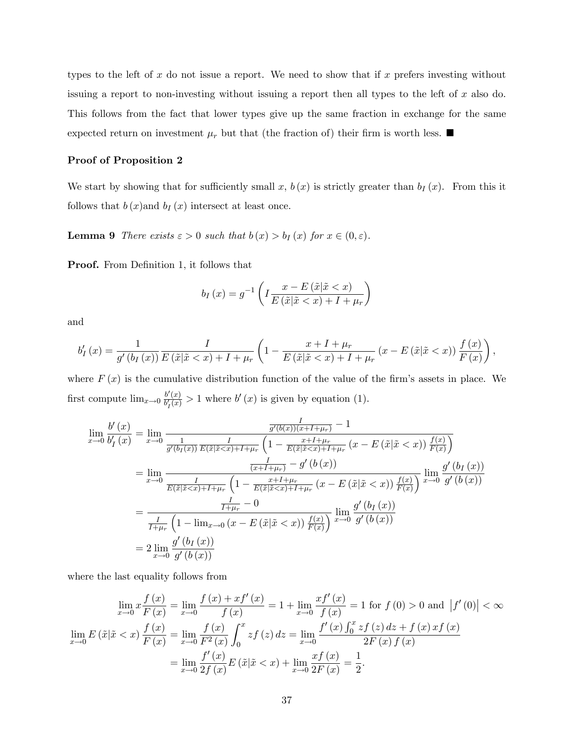types to the left of  $x$  do not issue a report. We need to show that if  $x$  prefers investing without issuing a report to non-investing without issuing a report then all types to the left of x also do. This follows from the fact that lower types give up the same fraction in exchange for the same expected return on investment  $\mu_r$  but that (the fraction of) their firm is worth less.

## Proof of Proposition 2

We start by showing that for sufficiently small x,  $b(x)$  is strictly greater than  $b<sub>I</sub>(x)$ . From this it follows that  $b(x)$  and  $b<sub>I</sub>(x)$  intersect at least once.

**Lemma 9** There exists  $\varepsilon > 0$  such that  $b(x) > b_I(x)$  for  $x \in (0, \varepsilon)$ .

Proof. From Definition 1, it follows that

$$
b_I(x) = g^{-1}\left(I\frac{x - E\left(\tilde{x}|\tilde{x} < x\right)}{E\left(\tilde{x}|\tilde{x} < x\right) + I + \mu_r}\right)
$$

and

$$
b'_I(x) = \frac{1}{g'(b_I(x))} \frac{I}{E(\tilde{x}|\tilde{x} < x) + I + \mu_r} \left(1 - \frac{x + I + \mu_r}{E(\tilde{x}|\tilde{x} < x) + I + \mu_r} \left(x - E(\tilde{x}|\tilde{x} < x)\right) \frac{f(x)}{F(x)}\right),
$$

where  $F(x)$  is the cumulative distribution function of the value of the firm's assets in place. We first compute  $\lim_{x\to 0} \frac{b'(x)}{b'_I(x)}$  $\frac{\partial (x)}{\partial f(x)} > 1$  where  $b'(x)$  is given by equation (1).

$$
\lim_{x \to 0} \frac{b'(x)}{b'_I(x)} = \lim_{x \to 0} \frac{\frac{1}{g'(b(x))(x + I + \mu_r)} - 1}{\frac{1}{g'(b_I(x))} \frac{I}{E(\tilde{x}|\tilde{x} < x) + I + \mu_r} \left(1 - \frac{x + I + \mu_r}{E(\tilde{x}|\tilde{x} < x) + I + \mu_r} (x - E(\tilde{x}|\tilde{x} < x)) \frac{f(x)}{F(x)}\right)}
$$
\n
$$
= \lim_{x \to 0} \frac{\frac{I}{(x + I + \mu_r)} - g'(b(x))}{\frac{I}{E(\tilde{x}|\tilde{x} < x) + I + \mu_r} \left(1 - \frac{x + I + \mu_r}{E(\tilde{x}|\tilde{x} < x) + I + \mu_r} (x - E(\tilde{x}|\tilde{x} < x)) \frac{f(x)}{F(x)}\right)} \lim_{x \to 0} \frac{g'(b_I(x))}{g'(b(x))}
$$
\n
$$
= \frac{\frac{I}{I + \mu_r} - 0}{\frac{I}{I + \mu_r} \left(1 - \lim_{x \to 0} (x - E(\tilde{x}|\tilde{x} < x)) \frac{f(x)}{F(x)}\right)} \lim_{x \to 0} \frac{g'(b_I(x))}{g'(b(x))}
$$
\n
$$
= 2 \lim_{x \to 0} \frac{g'(b_I(x))}{g'(b(x))}
$$

where the last equality follows from

$$
\lim_{x \to 0} x \frac{f(x)}{F(x)} = \lim_{x \to 0} \frac{f(x) + xf'(x)}{f(x)} = 1 + \lim_{x \to 0} \frac{xf'(x)}{f(x)} = 1 \text{ for } f(0) > 0 \text{ and } |f'(0)| < \infty
$$
  

$$
\lim_{x \to 0} E(\tilde{x}|\tilde{x} < x) \frac{f(x)}{F(x)} = \lim_{x \to 0} \frac{f(x)}{F^2(x)} \int_0^x z f(z) dz = \lim_{x \to 0} \frac{f'(x) \int_0^x z f(z) dz + f(x) x f(x)}{2F(x) f(x)}
$$
  

$$
= \lim_{x \to 0} \frac{f'(x)}{2f(x)} E(\tilde{x}|\tilde{x} < x) + \lim_{x \to 0} \frac{xf(x)}{2F(x)} = \frac{1}{2}.
$$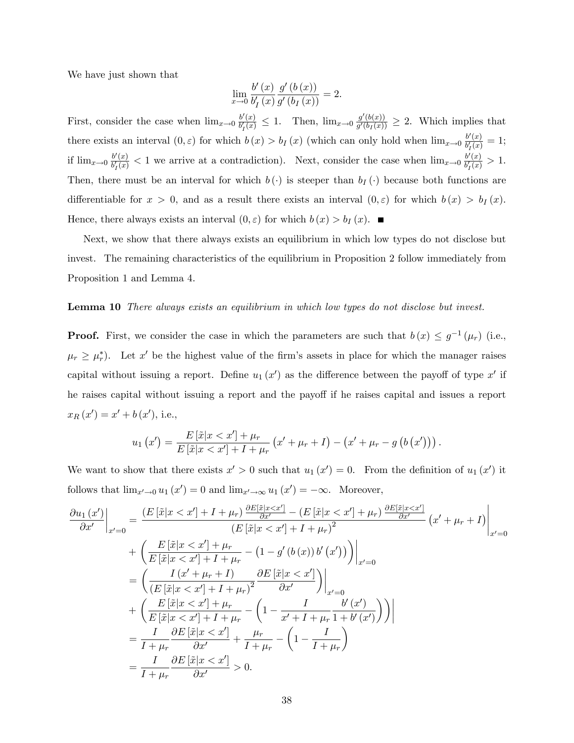We have just shown that

$$
\lim_{x \to 0} \frac{b'(x)}{b'_I(x)} \frac{g'(b(x))}{g'(b_I(x))} = 2.
$$

First, consider the case when  $\lim_{x\to 0} \frac{b'(x)}{b'_I(x)}$  $\frac{b'(x)}{b'_I(x)} \leq 1$ . Then,  $\lim_{x \to 0} \frac{g'(b(x))}{g'(b_I(x))}$  $\frac{g(\theta(x))}{g'(\theta_I(x))} \geq 2$ . Which implies that there exists an interval  $(0, \varepsilon)$  for which  $b(x) > b<sub>I</sub>(x)$  (which can only hold when  $\lim_{x\to 0} \frac{b'(x)}{b'_I(x)}$  $\frac{\partial (x)}{\partial f(x)} = 1;$ if  $\lim_{x\to 0} \frac{b'(x)}{b'_I(x)}$  $\frac{b'(x)}{b'_I(x)} < 1$  we arrive at a contradiction). Next, consider the case when  $\lim_{x\to 0} \frac{b'(x)}{b'_I(x)}$  $\frac{b'(x)}{b'_I(x)} > 1.$ Then, there must be an interval for which  $b(\cdot)$  is steeper than  $b_I(\cdot)$  because both functions are differentiable for  $x > 0$ , and as a result there exists an interval  $(0, \varepsilon)$  for which  $b(x) > b<sub>I</sub>(x)$ . Hence, there always exists an interval  $(0, \varepsilon)$  for which  $b(x) > b<sub>I</sub>(x)$ .

Next, we show that there always exists an equilibrium in which low types do not disclose but invest. The remaining characteristics of the equilibrium in Proposition 2 follow immediately from Proposition 1 and Lemma 4.

### Lemma 10 There always exists an equilibrium in which low types do not disclose but invest.

**Proof.** First, we consider the case in which the parameters are such that  $b(x) \leq g^{-1}(\mu_r)$  (i.e.,  $\mu_r \geq \mu_r^*$ ). Let x' be the highest value of the firm's assets in place for which the manager raises capital without issuing a report. Define  $u_1(x')$  as the difference between the payoff of type  $x'$  if he raises capital without issuing a report and the payoff if he raises capital and issues a report  $x_R(x') = x' + b(x'), \text{ i.e.,}$ 

$$
u_1(x') = \frac{E[\tilde{x}|x < x'] + \mu_r}{E[\tilde{x}|x < x'] + I + \mu_r}(x' + \mu_r + I) - (x' + \mu_r - g(b(x'))).
$$

We want to show that there exists  $x' > 0$  such that  $u_1(x') = 0$ . From the definition of  $u_1(x')$  it follows that  $\lim_{x'\to 0} u_1 (x') = 0$  and  $\lim_{x'\to\infty} u_1 (x') = -\infty$ . Moreover,

$$
\frac{\partial u_{1}(x')}{\partial x'}\Big|_{x'=0} = \frac{(E[\tilde{x}|x < x'] + I + \mu_{r}) \frac{\partial E[\tilde{x}|x < x']}{\partial x'} - (E[\tilde{x}|x < x'] + \mu_{r}) \frac{\partial E[\tilde{x}|x < x']}{\partial x'} (x' + \mu_{r} + I)\Big|_{x'=0} \n+ \left(\frac{E[\tilde{x}|x < x'] + \mu_{r}}{E[\tilde{x}|x < x'] + I + \mu_{r}} - (1 - g'(b(x))b'(x'))\right)\Big|_{x'=0} \n= \left(\frac{I(x' + \mu_{r} + I)}{(E[\tilde{x}|x < x'] + I + \mu_{r})^{2}} \frac{\partial E[\tilde{x}|x < x']}{\partial x'}\right)\Big|_{x'=0} \n+ \left(\frac{E[\tilde{x}|x < x'] + \mu_{r}}{E[\tilde{x}|x < x'] + I + \mu_{r}} - \left(1 - \frac{I}{x' + I + \mu_{r}} \frac{b'(x')}{1 + b'(x')}\right)\right)\Big| \n= \frac{I}{I + \mu_{r}} \frac{\partial E[\tilde{x}|x < x']}{\partial x'} + \frac{\mu_{r}}{I + \mu_{r}} - \left(1 - \frac{I}{I + \mu_{r}}\right)
$$
\n
$$
= \frac{I}{I + \mu_{r}} \frac{\partial E[\tilde{x}|x < x']}{\partial x'} + \frac{\mu_{r}}{I + \mu_{r}} - \left(1 - \frac{I}{I + \mu_{r}}\right)
$$
\n
$$
= \frac{I}{I + \mu_{r}} \frac{\partial E[\tilde{x}|x < x']}{\partial x'} > 0.
$$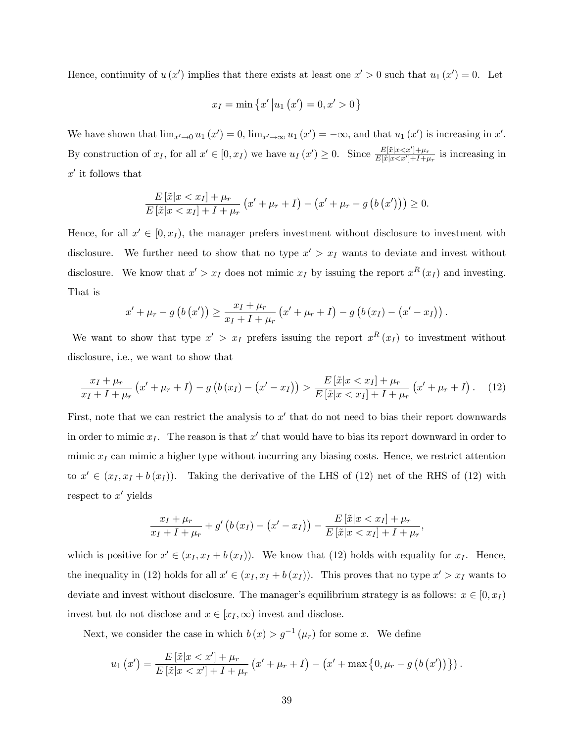Hence, continuity of  $u(x')$  implies that there exists at least one  $x' > 0$  such that  $u_1(x') = 0$ . Let

$$
x_I = \min \left\{ x' \left| u_1 \left( x' \right) = 0, x' > 0 \right. \right\}
$$

We have shown that  $\lim_{x'\to 0} u_1(x') = 0$ ,  $\lim_{x'\to\infty} u_1(x') = -\infty$ , and that  $u_1(x')$  is increasing in x'. By construction of  $x_I$ , for all  $x' \in [0, x_I)$  we have  $u_I(x') \geq 0$ . Since  $\frac{E[\tilde{x}|x \lt x'] + \mu_r}{E[\tilde{x}|x \lt x'] + I + \mu_r}$  $\frac{E[x|x \leq x] + \mu_r}{E[\tilde{x}|x \leq x'] + I + \mu_r}$  is increasing in  $x'$  it follows that

$$
\frac{E\left[\tilde{x}|x < x_I\right] + \mu_r}{E\left[\tilde{x}|x < x_I\right] + I + \mu_r} \left(x' + \mu_r + I\right) - \left(x' + \mu_r - g\left(b\left(x'\right)\right)\right) \geq 0.
$$

Hence, for all  $x' \in [0, x_I)$ , the manager prefers investment without disclosure to investment with disclosure. We further need to show that no type  $x' > x_I$  wants to deviate and invest without disclosure. We know that  $x' > x_I$  does not mimic  $x_I$  by issuing the report  $x^R(x_I)$  and investing. That is

$$
x' + \mu_r - g\left(b\left(x'\right)\right) \ge \frac{x_I + \mu_r}{x_I + I + \mu_r}\left(x' + \mu_r + I\right) - g\left(b\left(x_I\right) - \left(x' - x_I\right)\right).
$$

We want to show that type  $x' > x_I$  prefers issuing the report  $x^R(x_I)$  to investment without disclosure, i.e., we want to show that

$$
\frac{x_I + \mu_r}{x_I + I + \mu_r} \left( x' + \mu_r + I \right) - g \left( b \left( x_I \right) - \left( x' - x_I \right) \right) > \frac{E \left[ \tilde{x} | x < x_I \right] + \mu_r}{E \left[ \tilde{x} | x < x_I \right] + I + \mu_r} \left( x' + \mu_r + I \right). \tag{12}
$$

First, note that we can restrict the analysis to  $x'$  that do not need to bias their report downwards in order to mimic  $x_I$ . The reason is that  $x'$  that would have to bias its report downward in order to mimic  $x<sub>I</sub>$  can mimic a higher type without incurring any biasing costs. Hence, we restrict attention to  $x' \in (x_I, x_I + b(x_I))$ . Taking the derivative of the LHS of (12) net of the RHS of (12) with respect to  $x'$  yields

$$
\frac{x_I + \mu_r}{x_I + I + \mu_r} + g'\left(b\left(x_I\right) - \left(x' - x_I\right)\right) - \frac{E\left[\tilde{x}|x < x_I\right] + \mu_r}{E\left[\tilde{x}|x < x_I\right] + I + \mu_r},
$$

which is positive for  $x' \in (x_I, x_I + b(x_I))$ . We know that (12) holds with equality for  $x_I$ . Hence, the inequality in (12) holds for all  $x' \in (x_I, x_I + b(x_I))$ . This proves that no type  $x' > x_I$  wants to deviate and invest without disclosure. The manager's equilibrium strategy is as follows:  $x \in [0, x_I)$ invest but do not disclose and  $x \in [x_I,\infty)$  invest and disclose.

Next, we consider the case in which  $b(x) > g^{-1}(\mu_r)$  for some x. We define

$$
u_1(x') = \frac{E[\tilde{x}|x < x'] + \mu_r}{E[\tilde{x}|x < x'] + I + \mu_r} (x' + \mu_r + I) - (x' + \max\{0, \mu_r - g(b(x'))\}).
$$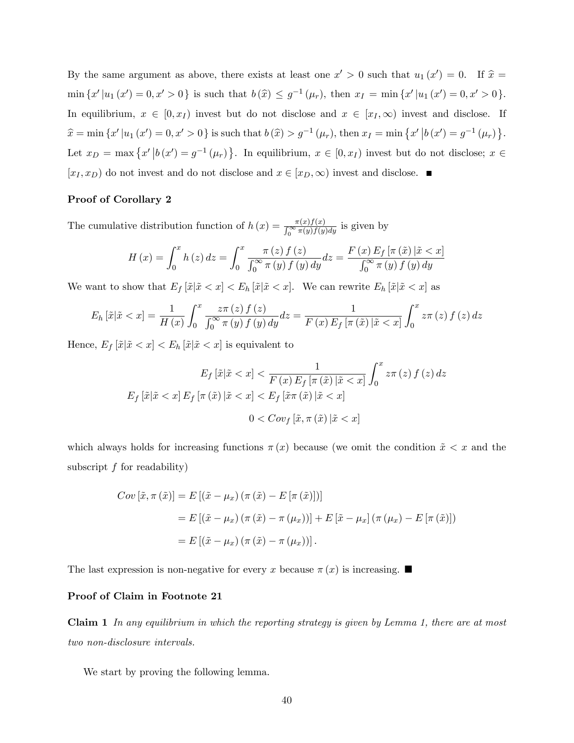By the same argument as above, there exists at least one  $x' > 0$  such that  $u_1(x') = 0$ . If  $\hat{x} =$  $\min \{x' | u_1(x') = 0, x' > 0\}$  is such that  $b(\widehat{x}) \leq g^{-1}(\mu_r)$ , then  $x_I = \min \{x' | u_1(x') = 0, x' > 0\}$ . In equilibrium,  $x \in [0, x_I)$  invest but do not disclose and  $x \in [x_I, \infty)$  invest and disclose. If  $\hat{x} = \min \{x' | u_1(x') = 0, x' > 0\}$  is such that  $b(\hat{x}) > g^{-1}(\mu_r)$ , then  $x_I = \min \{x' | b(x') = g^{-1}(\mu_r)\}$ . Let  $x_D = \max\{x' | b(x') = g^{-1}(\mu_r)\}\.$  In equilibrium,  $x \in [0, x_I)$  invest but do not disclose;  $x \in$  $[x_I, x_D]$  do not invest and do not disclose and  $x \in [x_D, \infty)$  invest and disclose.

### Proof of Corollary 2

The cumulative distribution function of  $h(x) = \frac{\pi(x)f(x)}{\int_0^\infty \pi(y)f(y)dy}$  is given by

$$
H(x) = \int_0^x h(z) dz = \int_0^x \frac{\pi(z) f(z)}{\int_0^\infty \pi(y) f(y) dy} dz = \frac{F(x) E_f[\pi(\tilde{x}) | \tilde{x} < x]}{\int_0^\infty \pi(y) f(y) dy}
$$

We want to show that  $E_f[\tilde{x}|\tilde{x} < x] < E_h[\tilde{x}|\tilde{x} < x]$ . We can rewrite  $E_h[\tilde{x}|\tilde{x} < x]$  as

$$
E_h\left[\tilde{x}|\tilde{x} < x\right] = \frac{1}{H\left(x\right)} \int_0^x \frac{z\pi\left(z\right)f\left(z\right)}{\int_0^\infty \pi\left(y\right)f\left(y\right)dy} dz = \frac{1}{F\left(x\right)E_f\left[\pi\left(\tilde{x}\right)|\tilde{x} < x\right]} \int_0^x z\pi\left(z\right)f\left(z\right)dz
$$

Hence,  $E_f[\tilde{x}|\tilde{x} < x] < E_h[\tilde{x}|\tilde{x} < x]$  is equivalent to

$$
E_f\left[\tilde{x}|\tilde{x} < x\right] < \frac{1}{F\left(x\right)E_f\left[\pi\left(\tilde{x}\right)|\tilde{x} < x\right]} \int_0^x z\pi\left(z\right)f\left(z\right)dz
$$
\n
$$
E_f\left[\tilde{x}|\tilde{x} < x\right]E_f\left[\pi\left(\tilde{x}\right)|\tilde{x} < x\right] < E_f\left[\tilde{x}\pi\left(\tilde{x}\right)|\tilde{x} < x\right]
$$
\n
$$
0 < Cov_f\left[\tilde{x}, \pi\left(\tilde{x}\right)|\tilde{x} < x\right]
$$

which always holds for increasing functions  $\pi(x)$  because (we omit the condition  $\tilde{x} < x$  and the subscript  $f$  for readability)

$$
Cov\left[\tilde{x}, \pi\left(\tilde{x}\right)\right] = E\left[\left(\tilde{x} - \mu_x\right)\left(\pi\left(\tilde{x}\right) - E\left[\pi\left(\tilde{x}\right)\right]\right)\right]
$$
  
\n
$$
= E\left[\left(\tilde{x} - \mu_x\right)\left(\pi\left(\tilde{x}\right) - \pi\left(\mu_x\right)\right)\right] + E\left[\tilde{x} - \mu_x\right]\left(\pi\left(\mu_x\right) - E\left[\pi\left(\tilde{x}\right)\right]\right)
$$
  
\n
$$
= E\left[\left(\tilde{x} - \mu_x\right)\left(\pi\left(\tilde{x}\right) - \pi\left(\mu_x\right)\right)\right].
$$

The last expression is non-negative for every x because  $\pi(x)$  is increasing.

### Proof of Claim in Footnote 21

Claim 1 In any equilibrium in which the reporting strategy is given by Lemma 1, there are at most two non-disclosure intervals.

We start by proving the following lemma.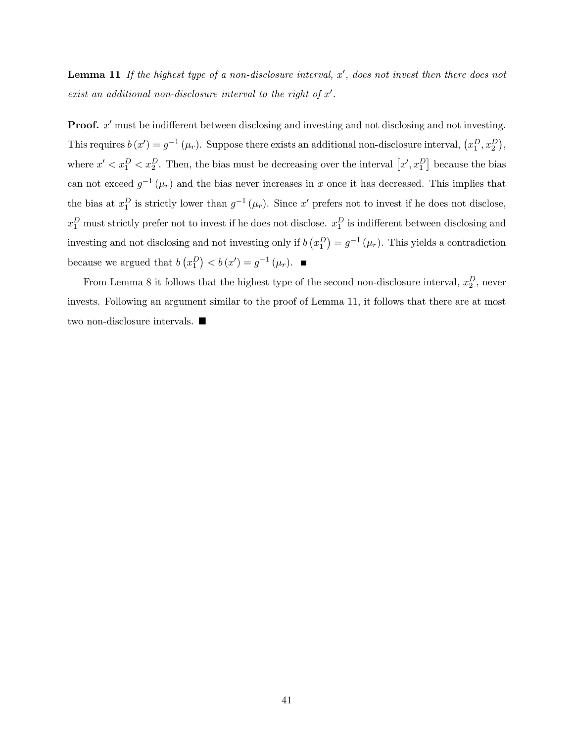**Lemma 11** If the highest type of a non-disclosure interval,  $x'$ , does not invest then there does not exist an additional non-disclosure interval to the right of  $x'$ .

**Proof.**  $x'$  must be indifferent between disclosing and investing and not disclosing and not investing. This requires  $b(x') = g^{-1}(\mu_r)$ . Suppose there exists an additional non-disclosure interval,  $(x_1^D, x_2^D)$ , where  $x' < x_1^D < x_2^D$ . Then, the bias must be decreasing over the interval  $[x', x_1^D]$  because the bias can not exceed  $g^{-1}(\mu_r)$  and the bias never increases in x once it has decreased. This implies that the bias at  $x_1^D$  is strictly lower than  $g^{-1}(\mu_r)$ . Since  $x'$  prefers not to invest if he does not disclose,  $x_1^D$  must strictly prefer not to invest if he does not disclose.  $x_1^D$  is indifferent between disclosing and investing and not disclosing and not investing only if  $b(x_1^D) = g^{-1}(\mu_r)$ . This yields a contradiction because we argued that  $b\left(x_1^D\right) < b\left(x'\right) = g^{-1}\left(\mu_r\right)$ .

From Lemma 8 it follows that the highest type of the second non-disclosure interval,  $x_2^D$ , never invests. Following an argument similar to the proof of Lemma 11, it follows that there are at most two non-disclosure intervals.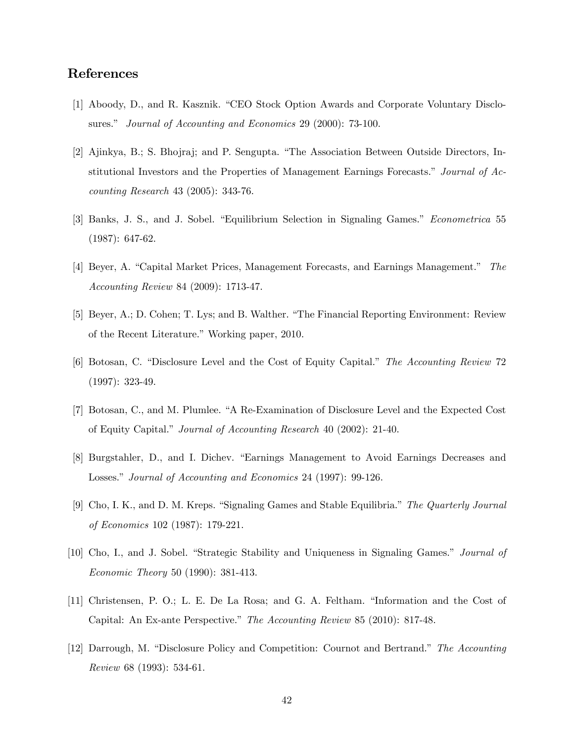# References

- [1] Aboody, D., and R. Kasznik. "CEO Stock Option Awards and Corporate Voluntary Disclosures." Journal of Accounting and Economics 29 (2000): 73-100.
- [2] Ajinkya, B.; S. Bhojraj; and P. Sengupta. "The Association Between Outside Directors, Institutional Investors and the Properties of Management Earnings Forecasts.<sup>n</sup> Journal of Accounting Research 43 (2005): 343-76.
- [3] Banks, J. S., and J. Sobel. "Equilibrium Selection in Signaling Games." Econometrica 55 (1987): 647-62.
- [4] Beyer, A. "Capital Market Prices, Management Forecasts, and Earnings Management." The Accounting Review 84 (2009): 1713-47.
- [5] Beyer, A.; D. Cohen; T. Lys; and B. Walther. "The Financial Reporting Environment: Review of the Recent Literature." Working paper, 2010.
- [6] Botosan, C. "Disclosure Level and the Cost of Equity Capital." The Accounting Review 72 (1997): 323-49.
- [7] Botosan, C., and M. Plumlee. "A Re-Examination of Disclosure Level and the Expected Cost of Equity Capital." Journal of Accounting Research 40 (2002): 21-40.
- [8] Burgstahler, D., and I. Dichev. "Earnings Management to Avoid Earnings Decreases and Losses." Journal of Accounting and Economics 24 (1997): 99-126.
- [9] Cho, I. K., and D. M. Kreps. "Signaling Games and Stable Equilibria." The Quarterly Journal of Economics 102 (1987): 179-221.
- [10] Cho, I., and J. Sobel. "Strategic Stability and Uniqueness in Signaling Games." Journal of Economic Theory 50 (1990): 381-413.
- [11] Christensen, P. O.; L. E. De La Rosa; and G. A. Feltham. "Information and the Cost of Capital: An Ex-ante Perspective." The Accounting Review 85 (2010): 817-48.
- [12] Darrough, M. "Disclosure Policy and Competition: Cournot and Bertrand." The Accounting Review 68 (1993): 534-61.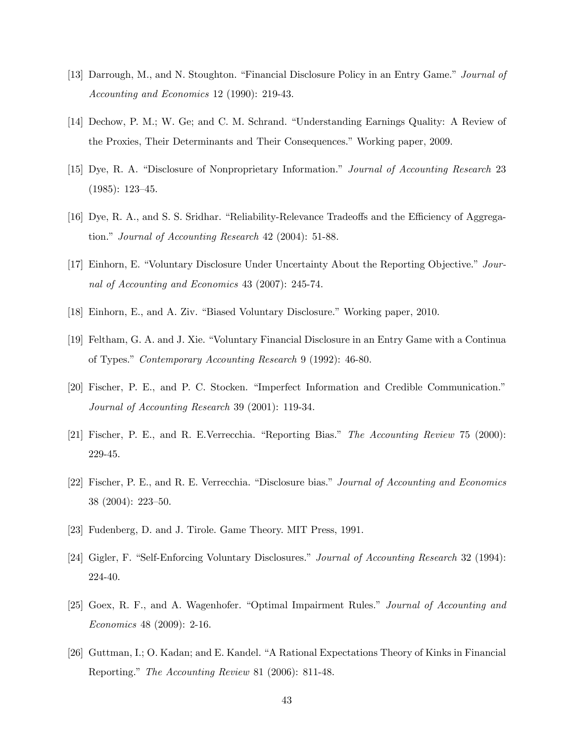- [13] Darrough, M., and N. Stoughton. "Financial Disclosure Policy in an Entry Game." Journal of Accounting and Economics 12 (1990): 219-43.
- [14] Dechow, P. M.; W. Ge; and C. M. Schrand. "Understanding Earnings Quality: A Review of the Proxies, Their Determinants and Their Consequences." Working paper, 2009.
- [15] Dye, R. A. "Disclosure of Nonproprietary Information." Journal of Accounting Research 23  $(1985): 123-45.$
- [16] Dye, R. A., and S. S. Sridhar. "Reliability-Relevance Tradeoffs and the Efficiency of Aggregation." Journal of Accounting Research 42 (2004): 51-88.
- [17] Einhorn, E. "Voluntary Disclosure Under Uncertainty About the Reporting Objective." Journal of Accounting and Economics 43 (2007): 245-74.
- [18] Einhorn, E., and A. Ziv. "Biased Voluntary Disclosure." Working paper, 2010.
- [19] Feltham, G. A. and J. Xie. "Voluntary Financial Disclosure in an Entry Game with a Continua of Types." Contemporary Accounting Research 9 (1992): 46-80.
- [20] Fischer, P. E., and P. C. Stocken. "Imperfect Information and Credible Communication." Journal of Accounting Research 39 (2001): 119-34.
- [21] Fischer, P. E., and R. E.Verrecchia. "Reporting Bias." The Accounting Review 75 (2000): 229-45.
- [22] Fischer, P. E., and R. E. Verrecchia. "Disclosure bias." Journal of Accounting and Economics 38 (2004): 223-50.
- [23] Fudenberg, D. and J. Tirole. Game Theory. MIT Press, 1991.
- [24] Gigler, F. "Self-Enforcing Voluntary Disclosures." Journal of Accounting Research 32 (1994): 224-40.
- [25] Goex, R. F., and A. Wagenhofer. "Optimal Impairment Rules." Journal of Accounting and Economics 48 (2009): 2-16.
- [26] Guttman, I.; O. Kadan; and E. Kandel. "A Rational Expectations Theory of Kinks in Financial Reporting." The Accounting Review 81 (2006): 811-48.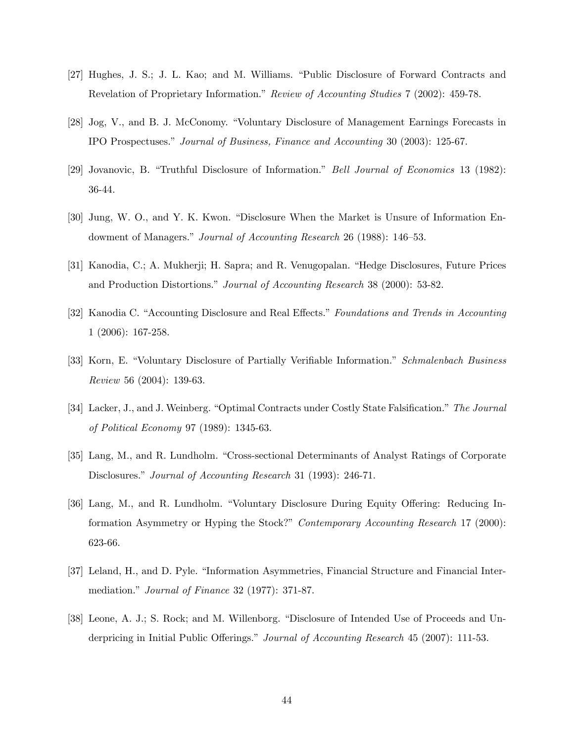- [27] Hughes, J. S.; J. L. Kao; and M. Williams. "Public Disclosure of Forward Contracts and Revelation of Proprietary Information." Review of Accounting Studies 7 (2002): 459-78.
- [28] Jog, V., and B. J. McConomy. "Voluntary Disclosure of Management Earnings Forecasts in IPO Prospectuses.îJournal of Business, Finance and Accounting 30 (2003): 125-67.
- [29] Jovanovic, B. "Truthful Disclosure of Information." Bell Journal of Economics 13 (1982): 36-44.
- [30] Jung, W. O., and Y. K. Kwon. "Disclosure When the Market is Unsure of Information Endowment of Managers." Journal of Accounting Research 26 (1988): 146–53.
- [31] Kanodia, C.; A. Mukherji; H. Sapra; and R. Venugopalan. "Hedge Disclosures, Future Prices and Production Distortions." *Journal of Accounting Research* 38 (2000): 53-82.
- [32] Kanodia C. "Accounting Disclosure and Real Effects." Foundations and Trends in Accounting 1 (2006): 167-258.
- [33] Korn, E. "Voluntary Disclosure of Partially Verifiable Information." Schmalenbach Business Review 56 (2004): 139-63.
- [34] Lacker, J., and J. Weinberg. "Optimal Contracts under Costly State Falsification." The Journal of Political Economy 97 (1989): 1345-63.
- [35] Lang, M., and R. Lundholm. "Cross-sectional Determinants of Analyst Ratings of Corporate Disclosures." Journal of Accounting Research 31 (1993): 246-71.
- [36] Lang, M., and R. Lundholm. "Voluntary Disclosure During Equity Offering: Reducing Information Asymmetry or Hyping the Stock?" Contemporary Accounting Research 17 (2000): 623-66.
- [37] Leland, H., and D. Pyle. "Information Asymmetries, Financial Structure and Financial Intermediation." Journal of Finance  $32$  (1977): 371-87.
- [38] Leone, A. J.; S. Rock; and M. Willenborg. "Disclosure of Intended Use of Proceeds and Underpricing in Initial Public Offerings." Journal of Accounting Research 45 (2007): 111-53.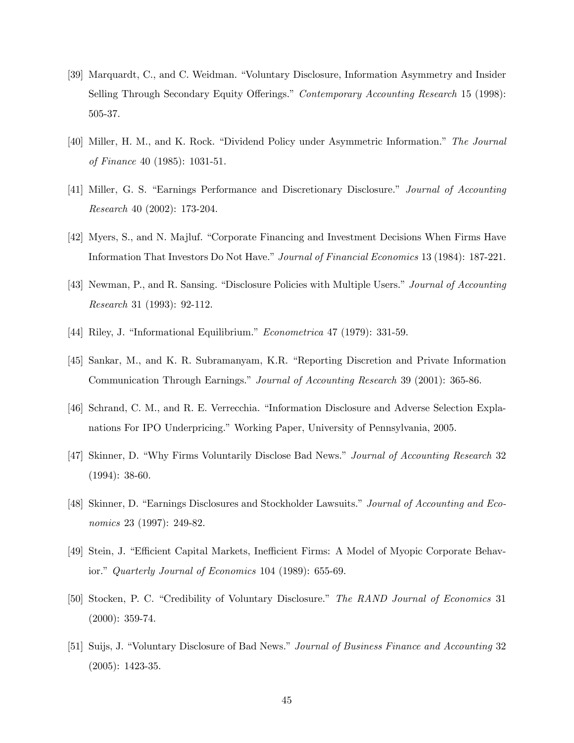- [39] Marquardt, C., and C. Weidman. "Voluntary Disclosure, Information Asymmetry and Insider Selling Through Secondary Equity Offerings." Contemporary Accounting Research 15 (1998): 505-37.
- [40] Miller, H. M., and K. Rock. "Dividend Policy under Asymmetric Information." The Journal of Finance 40 (1985): 1031-51.
- [41] Miller, G. S. "Earnings Performance and Discretionary Disclosure." Journal of Accounting Research 40 (2002): 173-204.
- [42] Myers, S., and N. Majluf. "Corporate Financing and Investment Decisions When Firms Have Information That Investors Do Not Have." Journal of Financial Economics 13 (1984): 187-221.
- [43] Newman, P., and R. Sansing. "Disclosure Policies with Multiple Users." *Journal of Accounting* Research 31 (1993): 92-112.
- [44] Riley, J. "Informational Equilibrium."  $Econometrica$  47 (1979): 331-59.
- [45] Sankar, M., and K. R. Subramanyam, K.R. "Reporting Discretion and Private Information Communication Through Earnings." Journal of Accounting Research 39 (2001): 365-86.
- [46] Schrand, C. M., and R. E. Verrecchia. "Information Disclosure and Adverse Selection Explanations For IPO Underpricing." Working Paper, University of Pennsylvania, 2005.
- [47] Skinner, D. "Why Firms Voluntarily Disclose Bad News." Journal of Accounting Research 32 (1994): 38-60.
- [48] Skinner, D. "Earnings Disclosures and Stockholder Lawsuits." Journal of Accounting and Economics 23 (1997): 249-82.
- [49] Stein, J. "Efficient Capital Markets, Inefficient Firms: A Model of Myopic Corporate Behavior." Quarterly Journal of Economics 104 (1989): 655-69.
- [50] Stocken, P. C. "Credibility of Voluntary Disclosure." The RAND Journal of Economics 31 (2000): 359-74.
- [51] Suijs, J. "Voluntary Disclosure of Bad News." Journal of Business Finance and Accounting 32 (2005): 1423-35.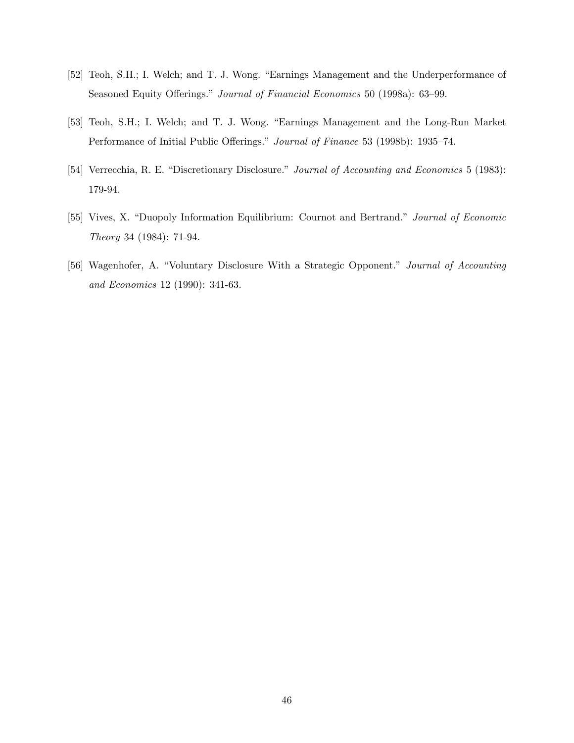- [52] Teoh, S.H.; I. Welch; and T. J. Wong. "Earnings Management and the Underperformance of Seasoned Equity Offerings." Journal of Financial Economics 50 (1998a): 63–99.
- [53] Teoh, S.H.; I. Welch; and T. J. Wong. "Earnings Management and the Long-Run Market Performance of Initial Public Offerings." Journal of Finance 53 (1998b): 1935–74.
- [54] Verrecchia, R. E. "Discretionary Disclosure." Journal of Accounting and Economics 5 (1983): 179-94.
- [55] Vives, X. "Duopoly Information Equilibrium: Cournot and Bertrand." Journal of Economic Theory 34 (1984): 71-94.
- [56] Wagenhofer, A. "Voluntary Disclosure With a Strategic Opponent." Journal of Accounting and Economics 12 (1990): 341-63.